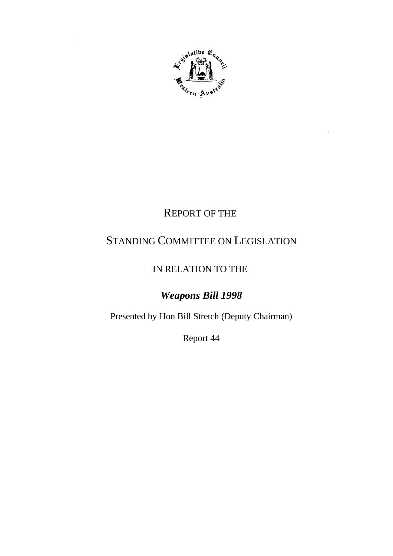

# REPORT OF THE

# STANDING COMMITTEE ON LEGISLATION

## IN RELATION TO THE

# *Weapons Bill 1998*

Presented by Hon Bill Stretch (Deputy Chairman)

Report 44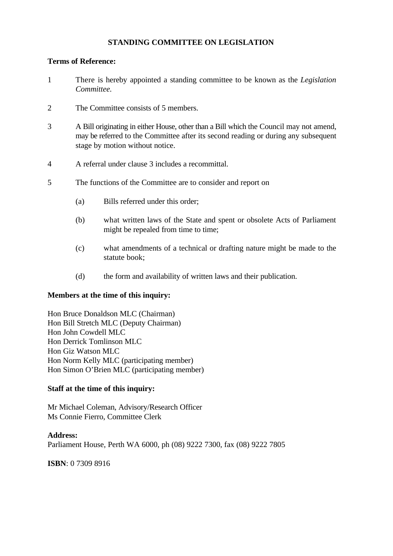#### **STANDING COMMITTEE ON LEGISLATION**

#### **Terms of Reference:**

- 1 There is hereby appointed a standing committee to be known as the *Legislation Committee.*
- 2 The Committee consists of 5 members.
- 3 A Bill originating in either House, other than a Bill which the Council may not amend, may be referred to the Committee after its second reading or during any subsequent stage by motion without notice.
- 4 A referral under clause 3 includes a recommittal.
- 5 The functions of the Committee are to consider and report on
	- (a) Bills referred under this order;
	- (b) what written laws of the State and spent or obsolete Acts of Parliament might be repealed from time to time;
	- (c) what amendments of a technical or drafting nature might be made to the statute book;
	- (d) the form and availability of written laws and their publication.

#### **Members at the time of this inquiry:**

Hon Bruce Donaldson MLC (Chairman) Hon Bill Stretch MLC (Deputy Chairman) Hon John Cowdell MLC Hon Derrick Tomlinson MLC Hon Giz Watson MLC Hon Norm Kelly MLC (participating member) Hon Simon O'Brien MLC (participating member)

#### **Staff at the time of this inquiry:**

Mr Michael Coleman, Advisory/Research Officer Ms Connie Fierro, Committee Clerk

**Address:** Parliament House, Perth WA 6000, ph (08) 9222 7300, fax (08) 9222 7805

**ISBN**: 0 7309 8916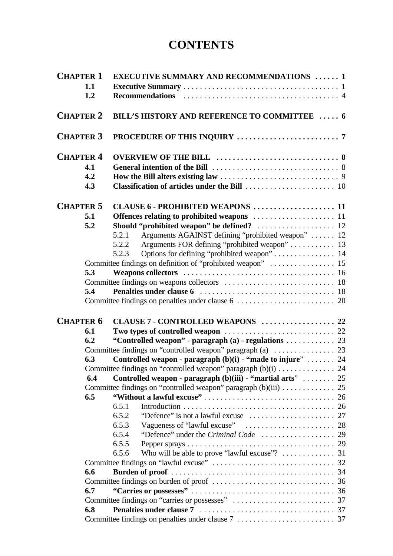# **CONTENTS**

| <b>CHAPTER 1</b> |     | <b>EXECUTIVE SUMMARY AND RECOMMENDATIONS  1</b>                                                |
|------------------|-----|------------------------------------------------------------------------------------------------|
|                  | 1.1 |                                                                                                |
|                  | 1.2 | <b>Recommendations</b>                                                                         |
| <b>CHAPTER 2</b> |     | <b>BILL'S HISTORY AND REFERENCE TO COMMITTEE  6</b>                                            |
| <b>CHAPTER 3</b> |     |                                                                                                |
| <b>CHAPTER 4</b> |     |                                                                                                |
|                  | 4.1 |                                                                                                |
|                  | 4.2 |                                                                                                |
|                  | 4.3 |                                                                                                |
| <b>CHAPTER 5</b> |     | CLAUSE 6 - PROHIBITED WEAPONS  11                                                              |
|                  | 5.1 |                                                                                                |
|                  | 5.2 |                                                                                                |
|                  |     | Arguments AGAINST defining "prohibited weapon"  12<br>5.2.1                                    |
|                  |     | Arguments FOR defining "prohibited weapon"  13<br>5.2.2                                        |
|                  |     | 5.2.3                                                                                          |
|                  |     |                                                                                                |
|                  | 5.3 |                                                                                                |
|                  |     |                                                                                                |
|                  | 5.4 |                                                                                                |
|                  |     |                                                                                                |
| <b>CHAPTER 6</b> |     | CLAUSE 7 - CONTROLLED WEAPONS  22                                                              |
|                  | 6.1 |                                                                                                |
|                  | 6.2 | "Controlled weapon" - paragraph (a) - regulations  23                                          |
|                  |     | Committee findings on "controlled weapon" paragraph (a) $\dots \dots \dots \dots \dots$ 23     |
|                  | 6.3 | Controlled weapon - paragraph (b)(i) - "made to injure"  24                                    |
|                  |     | Committee findings on "controlled weapon" paragraph (b)(i) 24                                  |
|                  | 6.4 | Controlled weapon - paragraph (b)(iii) - "martial arts"  25                                    |
|                  |     | Committee findings on "controlled weapon" paragraph (b)(iii)  25                               |
|                  | 6.5 |                                                                                                |
|                  |     | 6.5.1                                                                                          |
|                  |     | 6.5.2<br>"Defence" is not a lawful excuse $\dots \dots \dots \dots \dots \dots \dots \dots$ 27 |
|                  |     | 6.5.3                                                                                          |
|                  |     | 6.5.4                                                                                          |
|                  |     | 6.5.5                                                                                          |
|                  |     | 6.5.6                                                                                          |
|                  |     |                                                                                                |
|                  | 6.6 |                                                                                                |
|                  |     |                                                                                                |
|                  | 6.7 |                                                                                                |
|                  |     |                                                                                                |
|                  | 6.8 |                                                                                                |
|                  |     |                                                                                                |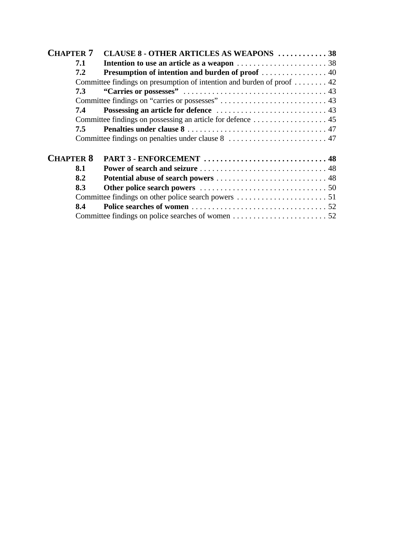| <b>CHAPTER 7</b> |     | CLAUSE 8 - OTHER ARTICLES AS WEAPONS  38                               |  |
|------------------|-----|------------------------------------------------------------------------|--|
|                  | 7.1 |                                                                        |  |
|                  | 7.2 | Presumption of intention and burden of proof  40                       |  |
|                  |     | Committee findings on presumption of intention and burden of proof  42 |  |
|                  | 7.3 |                                                                        |  |
|                  |     |                                                                        |  |
|                  | 7.4 |                                                                        |  |
|                  |     |                                                                        |  |
|                  | 7.5 |                                                                        |  |
|                  |     |                                                                        |  |
| <b>CHAPTER 8</b> |     |                                                                        |  |
|                  | 8.1 |                                                                        |  |
|                  | 8.2 |                                                                        |  |
|                  | 8.3 |                                                                        |  |
|                  |     |                                                                        |  |
|                  | 8.4 |                                                                        |  |
|                  |     |                                                                        |  |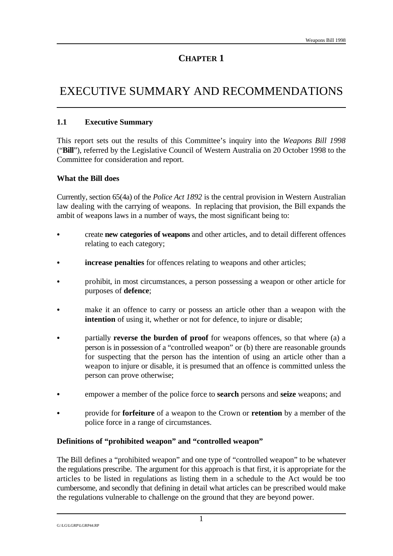# EXECUTIVE SUMMARY AND RECOMMENDATIONS

#### **1.1 Executive Summary**

This report sets out the results of this Committee's inquiry into the *Weapons Bill 1998* ("**Bill**"), referred by the Legislative Council of Western Australia on 20 October 1998 to the Committee for consideration and report.

#### **What the Bill does**

Currently, section 65(4a) of the *Police Act 1892* is the central provision in Western Australian law dealing with the carrying of weapons. In replacing that provision, the Bill expands the ambit of weapons laws in a number of ways, the most significant being to:

- C create **new categories of weapons** and other articles, and to detail different offences relating to each category;
- **increase penalties** for offences relating to weapons and other articles;
- prohibit, in most circumstances, a person possessing a weapon or other article for purposes of **defence**;
- make it an offence to carry or possess an article other than a weapon with the **intention** of using it, whether or not for defence, to injure or disable;
- partially **reverse the burden of proof** for weapons offences, so that where (a) a person is in possession of a "controlled weapon" or (b) there are reasonable grounds for suspecting that the person has the intention of using an article other than a weapon to injure or disable, it is presumed that an offence is committed unless the person can prove otherwise;
- C empower a member of the police force to **search** persons and **seize** weapons; and
- C provide for **forfeiture** of a weapon to the Crown or **retention** by a member of the police force in a range of circumstances.

#### **Definitions of "prohibited weapon" and "controlled weapon"**

The Bill defines a "prohibited weapon" and one type of "controlled weapon" to be whatever the regulations prescribe. The argument for this approach is that first, it is appropriate for the articles to be listed in regulations as listing them in a schedule to the Act would be too cumbersome, and secondly that defining in detail what articles can be prescribed would make the regulations vulnerable to challenge on the ground that they are beyond power.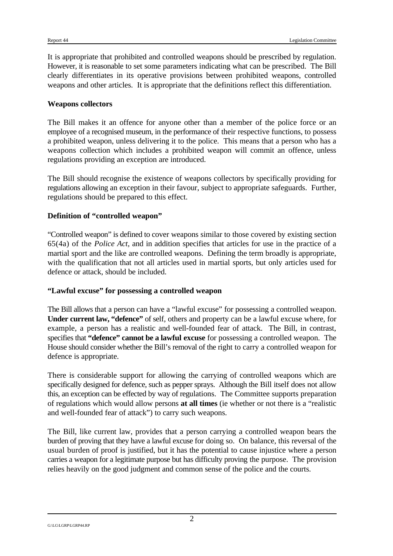It is appropriate that prohibited and controlled weapons should be prescribed by regulation. However, it is reasonable to set some parameters indicating what can be prescribed. The Bill clearly differentiates in its operative provisions between prohibited weapons, controlled weapons and other articles. It is appropriate that the definitions reflect this differentiation.

#### **Weapons collectors**

The Bill makes it an offence for anyone other than a member of the police force or an employee of a recognised museum, in the performance of their respective functions, to possess a prohibited weapon, unless delivering it to the police. This means that a person who has a weapons collection which includes a prohibited weapon will commit an offence, unless regulations providing an exception are introduced.

The Bill should recognise the existence of weapons collectors by specifically providing for regulations allowing an exception in their favour, subject to appropriate safeguards. Further, regulations should be prepared to this effect.

#### **Definition of "controlled weapon"**

"Controlled weapon" is defined to cover weapons similar to those covered by existing section 65(4a) of the *Police Act*, and in addition specifies that articles for use in the practice of a martial sport and the like are controlled weapons. Defining the term broadly is appropriate, with the qualification that not all articles used in martial sports, but only articles used for defence or attack, should be included.

#### **"Lawful excuse" for possessing a controlled weapon**

The Bill allows that a person can have a "lawful excuse" for possessing a controlled weapon. **Under current law, "defence"** of self, others and property can be a lawful excuse where, for example, a person has a realistic and well-founded fear of attack. The Bill, in contrast, specifies that **"defence" cannot be a lawful excuse** for possessing a controlled weapon. The House should consider whether the Bill's removal of the right to carry a controlled weapon for defence is appropriate.

There is considerable support for allowing the carrying of controlled weapons which are specifically designed for defence, such as pepper sprays. Although the Bill itself does not allow this, an exception can be effected by way of regulations. The Committee supports preparation of regulations which would allow persons **at all times** (ie whether or not there is a "realistic and well-founded fear of attack") to carry such weapons.

The Bill, like current law, provides that a person carrying a controlled weapon bears the burden of proving that they have a lawful excuse for doing so. On balance, this reversal of the usual burden of proof is justified, but it has the potential to cause injustice where a person carries a weapon for a legitimate purpose but has difficulty proving the purpose. The provision relies heavily on the good judgment and common sense of the police and the courts.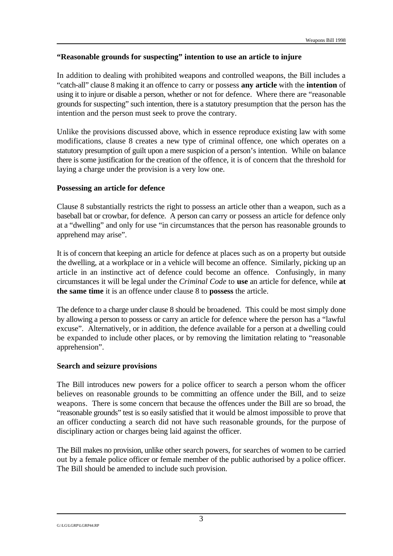#### **"Reasonable grounds for suspecting" intention to use an article to injure**

In addition to dealing with prohibited weapons and controlled weapons, the Bill includes a "catch-all" clause 8 making it an offence to carry or possess **any article** with the **intention** of using it to injure or disable a person, whether or not for defence. Where there are "reasonable grounds for suspecting" such intention, there is a statutory presumption that the person has the intention and the person must seek to prove the contrary.

Unlike the provisions discussed above, which in essence reproduce existing law with some modifications, clause 8 creates a new type of criminal offence, one which operates on a statutory presumption of guilt upon a mere suspicion of a person's intention. While on balance there is some justification for the creation of the offence, it is of concern that the threshold for laying a charge under the provision is a very low one.

#### **Possessing an article for defence**

Clause 8 substantially restricts the right to possess an article other than a weapon, such as a baseball bat or crowbar, for defence. A person can carry or possess an article for defence only at a "dwelling" and only for use "in circumstances that the person has reasonable grounds to apprehend may arise".

It is of concern that keeping an article for defence at places such as on a property but outside the dwelling, at a workplace or in a vehicle will become an offence. Similarly, picking up an article in an instinctive act of defence could become an offence. Confusingly, in many circumstances it will be legal under the *Criminal Code* to **use** an article for defence, while **at the same time** it is an offence under clause 8 to **possess** the article.

The defence to a charge under clause 8 should be broadened. This could be most simply done by allowing a person to possess or carry an article for defence where the person has a "lawful excuse". Alternatively, or in addition, the defence available for a person at a dwelling could be expanded to include other places, or by removing the limitation relating to "reasonable apprehension".

#### **Search and seizure provisions**

The Bill introduces new powers for a police officer to search a person whom the officer believes on reasonable grounds to be committing an offence under the Bill, and to seize weapons. There is some concern that because the offences under the Bill are so broad, the "reasonable grounds" test is so easily satisfied that it would be almost impossible to prove that an officer conducting a search did not have such reasonable grounds, for the purpose of disciplinary action or charges being laid against the officer.

The Bill makes no provision, unlike other search powers, for searches of women to be carried out by a female police officer or female member of the public authorised by a police officer. The Bill should be amended to include such provision.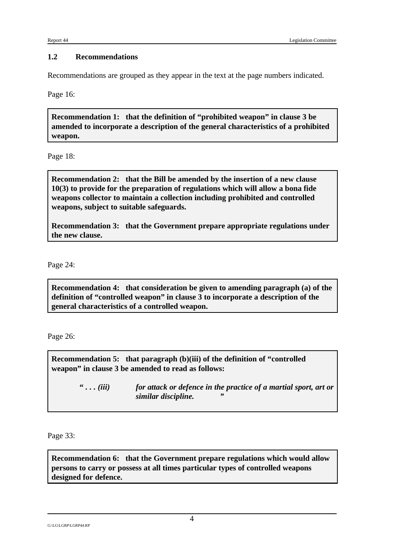#### **1.2 Recommendations**

Recommendations are grouped as they appear in the text at the page numbers indicated.

Page 16:

**Recommendation 1: that the definition of "prohibited weapon" in clause 3 be amended to incorporate a description of the general characteristics of a prohibited weapon.** 

Page 18:

**Recommendation 2: that the Bill be amended by the insertion of a new clause 10(3) to provide for the preparation of regulations which will allow a bona fide weapons collector to maintain a collection including prohibited and controlled weapons, subject to suitable safeguards.**

**Recommendation 3: that the Government prepare appropriate regulations under the new clause.**

Page 24:

**Recommendation 4: that consideration be given to amending paragraph (a) of the definition of "controlled weapon" in clause 3 to incorporate a description of the general characteristics of a controlled weapon.**

Page 26:

**Recommendation 5: that paragraph (b)(iii) of the definition of "controlled weapon" in clause 3 be amended to read as follows:**

> **"** *. . . (iii) for attack or defence in the practice of a martial sport, art or similar discipline. "*

Page 33:

**Recommendation 6: that the Government prepare regulations which would allow persons to carry or possess at all times particular types of controlled weapons designed for defence.**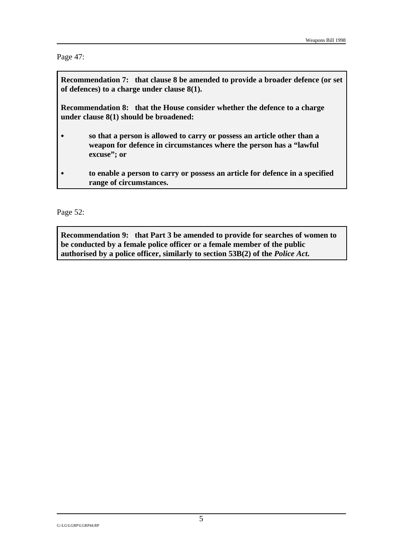Page 47:

**Recommendation 7: that clause 8 be amended to provide a broader defence (or set of defences) to a charge under clause 8(1).**

**Recommendation 8: that the House consider whether the defence to a charge under clause 8(1) should be broadened:**

- C **so that a person is allowed to carry or possess an article other than a weapon for defence in circumstances where the person has a "lawful excuse"; or**
- C **to enable a person to carry or possess an article for defence in a specified range of circumstances.**

Page 52:

**Recommendation 9: that Part 3 be amended to provide for searches of women to be conducted by a female police officer or a female member of the public authorised by a police officer, similarly to section 53B(2) of the** *Police Act***.**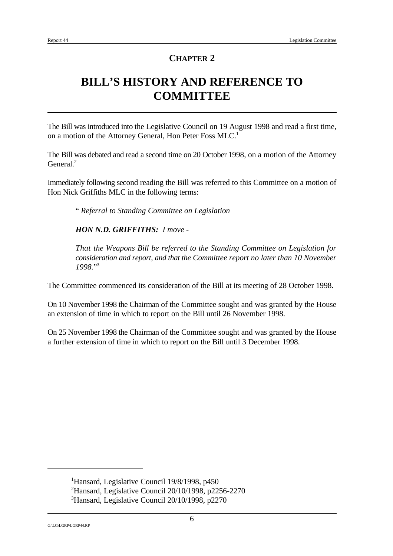# **BILL'S HISTORY AND REFERENCE TO COMMITTEE**

The Bill was introduced into the Legislative Council on 19 August 1998 and read a first time, on a motion of the Attorney General, Hon Peter Foss MLC.<sup>1</sup>

The Bill was debated and read a second time on 20 October 1998, on a motion of the Attorney General. $2$ 

Immediately following second reading the Bill was referred to this Committee on a motion of Hon Nick Griffiths MLC in the following terms:

" *Referral to Standing Committee on Legislation*

*HON N.D. GRIFFITHS: I move -* 

*That the Weapons Bill be referred to the Standing Committee on Legislation for consideration and report, and that the Committee report no later than 10 November 1998.*" 3

The Committee commenced its consideration of the Bill at its meeting of 28 October 1998.

On 10 November 1998 the Chairman of the Committee sought and was granted by the House an extension of time in which to report on the Bill until 26 November 1998.

On 25 November 1998 the Chairman of the Committee sought and was granted by the House a further extension of time in which to report on the Bill until 3 December 1998.

<sup>&</sup>lt;sup>1</sup>Hansard, Legislative Council 19/8/1998, p450

<sup>&</sup>lt;sup>2</sup>Hansard, Legislative Council 20/10/1998, p2256-2270

 ${}^{3}$ Hansard, Legislative Council 20/10/1998, p2270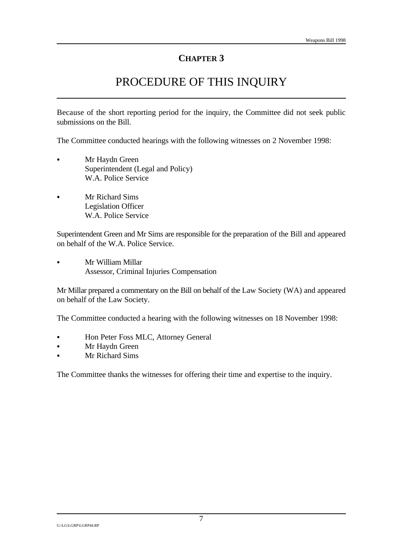## PROCEDURE OF THIS INQUIRY

Because of the short reporting period for the inquiry, the Committee did not seek public submissions on the Bill.

The Committee conducted hearings with the following witnesses on 2 November 1998:

- Mr Haydn Green Superintendent (Legal and Policy) W.A. Police Service
- Mr Richard Sims Legislation Officer W.A. Police Service

Superintendent Green and Mr Sims are responsible for the preparation of the Bill and appeared on behalf of the W.A. Police Service.

Mr William Millar Assessor, Criminal Injuries Compensation

Mr Millar prepared a commentary on the Bill on behalf of the Law Society (WA) and appeared on behalf of the Law Society.

The Committee conducted a hearing with the following witnesses on 18 November 1998:

- Hon Peter Foss MLC, Attorney General
- Mr Haydn Green
- Mr Richard Sims

The Committee thanks the witnesses for offering their time and expertise to the inquiry.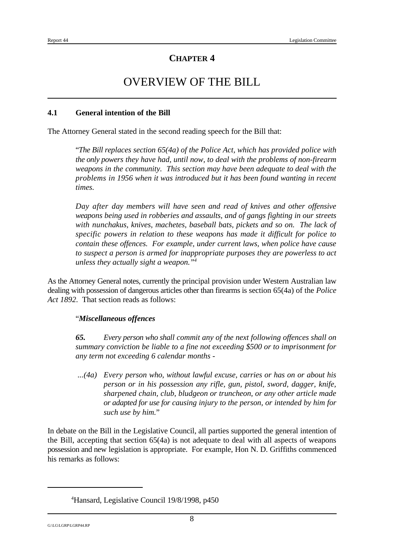## OVERVIEW OF THE BILL

#### **4.1 General intention of the Bill**

The Attorney General stated in the second reading speech for the Bill that:

"*The Bill replaces section 65(4a) of the Police Act, which has provided police with the only powers they have had, until now, to deal with the problems of non-firearm weapons in the community. This section may have been adequate to deal with the problems in 1956 when it was introduced but it has been found wanting in recent times.*

*Day after day members will have seen and read of knives and other offensive weapons being used in robberies and assaults, and of gangs fighting in our streets with nunchakus, knives, machetes, baseball bats, pickets and so on. The lack of specific powers in relation to these weapons has made it difficult for police to contain these offences. For example, under current laws, when police have cause to suspect a person is armed for inappropriate purposes they are powerless to act unless they actually sight a weapon."<sup>4</sup>*

As the Attorney General notes, currently the principal provision under Western Australian law dealing with possession of dangerous articles other than firearms is section 65(4a) of the *Police Act 1892*. That section reads as follows:

#### "*Miscellaneous offences*

*65. Every person who shall commit any of the next following offences shall on summary conviction be liable to a fine not exceeding \$500 or to imprisonment for any term not exceeding 6 calendar months -* 

 *...(4a) Every person who, without lawful excuse, carries or has on or about his person or in his possession any rifle, gun, pistol, sword, dagger, knife, sharpened chain, club, bludgeon or truncheon, or any other article made or adapted for use for causing injury to the person, or intended by him for such use by him.*"

In debate on the Bill in the Legislative Council, all parties supported the general intention of the Bill, accepting that section 65(4a) is not adequate to deal with all aspects of weapons possession and new legislation is appropriate. For example, Hon N. D. Griffiths commenced his remarks as follows:

<sup>&</sup>lt;sup>4</sup>Hansard, Legislative Council 19/8/1998, p450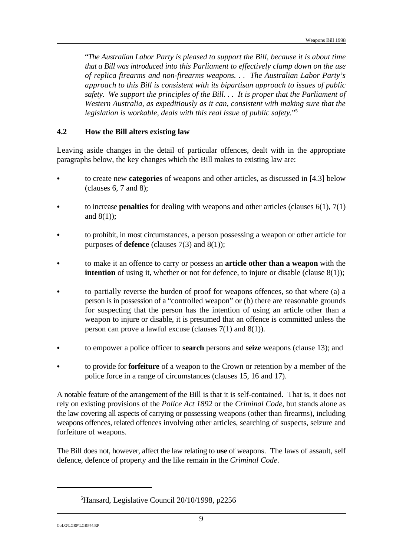"*The Australian Labor Party is pleased to support the Bill, because it is about time that a Bill was introduced into this Parliament to effectively clamp down on the use of replica firearms and non-firearms weapons. . . The Australian Labor Party's approach to this Bill is consistent with its bipartisan approach to issues of public safety. We support the principles of the Bill. . . It is proper that the Parliament of Western Australia, as expeditiously as it can, consistent with making sure that the legislation is workable, deals with this real issue of public safety.*" 5

#### **4.2 How the Bill alters existing law**

Leaving aside changes in the detail of particular offences, dealt with in the appropriate paragraphs below, the key changes which the Bill makes to existing law are:

- C to create new **categories** of weapons and other articles, as discussed in [4.3] below (clauses 6, 7 and 8);
- to increase **penalties** for dealing with weapons and other articles (clauses  $6(1)$ ,  $7(1)$ ) and  $8(1)$ :
- C to prohibit, in most circumstances, a person possessing a weapon or other article for purposes of **defence** (clauses 7(3) and 8(1));
- C to make it an offence to carry or possess an **article other than a weapon** with the **intention** of using it, whether or not for defence, to injure or disable (clause 8(1));
- to partially reverse the burden of proof for weapons offences, so that where (a) a person is in possession of a "controlled weapon" or (b) there are reasonable grounds for suspecting that the person has the intention of using an article other than a weapon to injure or disable, it is presumed that an offence is committed unless the person can prove a lawful excuse (clauses 7(1) and 8(1)).
- C to empower a police officer to **search** persons and **seize** weapons (clause 13); and
- C to provide for **forfeiture** of a weapon to the Crown or retention by a member of the police force in a range of circumstances (clauses 15, 16 and 17).

A notable feature of the arrangement of the Bill is that it is self-contained. That is, it does not rely on existing provisions of the *Police Act 1892* or the *Criminal Code*, but stands alone as the law covering all aspects of carrying or possessing weapons (other than firearms), including weapons offences, related offences involving other articles, searching of suspects, seizure and forfeiture of weapons.

The Bill does not, however, affect the law relating to **use** of weapons. The laws of assault, self defence, defence of property and the like remain in the *Criminal Code*.

 ${}^{5}$ Hansard, Legislative Council 20/10/1998, p2256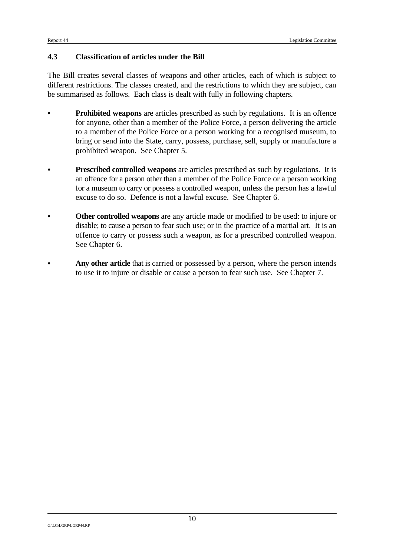#### **4.3 Classification of articles under the Bill**

The Bill creates several classes of weapons and other articles, each of which is subject to different restrictions. The classes created, and the restrictions to which they are subject, can be summarised as follows. Each class is dealt with fully in following chapters.

- **Prohibited weapons** are articles prescribed as such by regulations. It is an offence for anyone, other than a member of the Police Force, a person delivering the article to a member of the Police Force or a person working for a recognised museum, to bring or send into the State, carry, possess, purchase, sell, supply or manufacture a prohibited weapon. See Chapter 5.
- **Prescribed controlled weapons** are articles prescribed as such by regulations. It is an offence for a person other than a member of the Police Force or a person working for a museum to carry or possess a controlled weapon, unless the person has a lawful excuse to do so. Defence is not a lawful excuse. See Chapter 6.
- C **Other controlled weapons** are any article made or modified to be used: to injure or disable; to cause a person to fear such use; or in the practice of a martial art. It is an offence to carry or possess such a weapon, as for a prescribed controlled weapon. See Chapter 6.
- Any other article that is carried or possessed by a person, where the person intends to use it to injure or disable or cause a person to fear such use. See Chapter 7.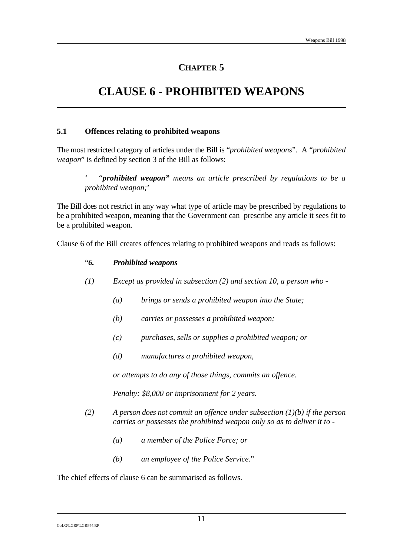## **CLAUSE 6 - PROHIBITED WEAPONS**

#### **5.1 Offences relating to prohibited weapons**

The most restricted category of articles under the Bill is "*prohibited weapons*". A "*prohibited weapon*" is defined by section 3 of the Bill as follows:

' "*prohibited weapon" means an article prescribed by regulations to be a prohibited weapon;*'

The Bill does not restrict in any way what type of article may be prescribed by regulations to be a prohibited weapon, meaning that the Government can prescribe any article it sees fit to be a prohibited weapon.

Clause 6 of the Bill creates offences relating to prohibited weapons and reads as follows:

#### "*6. Prohibited weapons*

- *(1) Except as provided in subsection (2) and section 10, a person who -*
	- *(a) brings or sends a prohibited weapon into the State;*
	- *(b) carries or possesses a prohibited weapon;*
	- *(c) purchases, sells or supplies a prohibited weapon; or*
	- *(d) manufactures a prohibited weapon,*

*or attempts to do any of those things, commits an offence.*

*Penalty: \$8,000 or imprisonment for 2 years.*

- *(2) A person does not commit an offence under subsection (1)(b) if the person carries or possesses the prohibited weapon only so as to deliver it to -*
	- *(a) a member of the Police Force; or*
	- *(b) an employee of the Police Service.*"

The chief effects of clause 6 can be summarised as follows.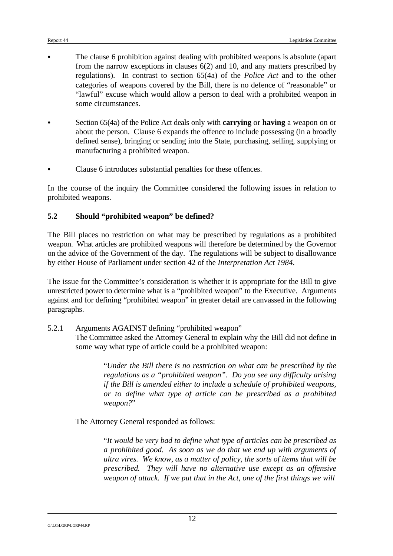- The clause 6 prohibition against dealing with prohibited weapons is absolute (apart from the narrow exceptions in clauses 6(2) and 10, and any matters prescribed by regulations). In contrast to section 65(4a) of the *Police Act* and to the other categories of weapons covered by the Bill, there is no defence of "reasonable" or "lawful" excuse which would allow a person to deal with a prohibited weapon in some circumstances.
- C Section 65(4a) of the Police Act deals only with **carrying** or **having** a weapon on or about the person. Clause 6 expands the offence to include possessing (in a broadly defined sense), bringing or sending into the State, purchasing, selling, supplying or manufacturing a prohibited weapon.
- Clause 6 introduces substantial penalties for these offences.

In the course of the inquiry the Committee considered the following issues in relation to prohibited weapons.

#### **5.2 Should "prohibited weapon" be defined?**

The Bill places no restriction on what may be prescribed by regulations as a prohibited weapon. What articles are prohibited weapons will therefore be determined by the Governor on the advice of the Government of the day. The regulations will be subject to disallowance by either House of Parliament under section 42 of the *Interpretation Act 1984*.

The issue for the Committee's consideration is whether it is appropriate for the Bill to give unrestricted power to determine what is a "prohibited weapon" to the Executive. Arguments against and for defining "prohibited weapon" in greater detail are canvassed in the following paragraphs.

#### 5.2.1 Arguments AGAINST defining "prohibited weapon"

The Committee asked the Attorney General to explain why the Bill did not define in some way what type of article could be a prohibited weapon:

> "*Under the Bill there is no restriction on what can be prescribed by the regulations as a "prohibited weapon". Do you see any difficulty arising if the Bill is amended either to include a schedule of prohibited weapons, or to define what type of article can be prescribed as a prohibited weapon?*"

The Attorney General responded as follows:

"*It would be very bad to define what type of articles can be prescribed as a prohibited good. As soon as we do that we end up with arguments of ultra vires. We know, as a matter of policy, the sorts of items that will be prescribed. They will have no alternative use except as an offensive weapon of attack. If we put that in the Act, one of the first things we will*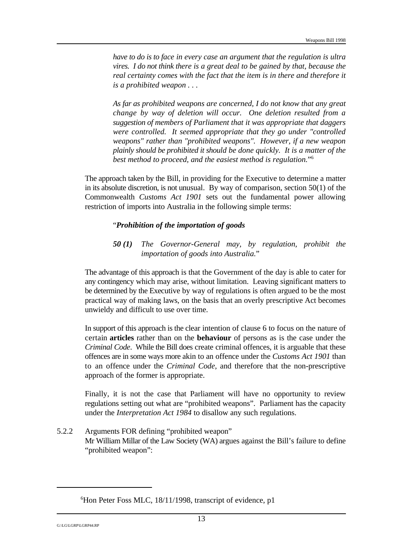*have to do is to face in every case an argument that the regulation is ultra vires. I do not think there is a great deal to be gained by that, because the real certainty comes with the fact that the item is in there and therefore it is a prohibited weapon . . .* 

*As far as prohibited weapons are concerned, I do not know that any great change by way of deletion will occur. One deletion resulted from a suggestion of members of Parliament that it was appropriate that daggers were controlled. It seemed appropriate that they go under "controlled weapons" rather than "prohibited weapons". However, if a new weapon plainly should be prohibited it should be done quickly. It is a matter of the best method to proceed, and the easiest method is regulation.*" 6

The approach taken by the Bill, in providing for the Executive to determine a matter in its absolute discretion, is not unusual. By way of comparison, section 50(1) of the Commonwealth *Customs Act 1901* sets out the fundamental power allowing restriction of imports into Australia in the following simple terms:

#### "*Prohibition of the importation of goods*

*50 (1) The Governor-General may, by regulation, prohibit the importation of goods into Australia.*"

The advantage of this approach is that the Government of the day is able to cater for any contingency which may arise, without limitation. Leaving significant matters to be determined by the Executive by way of regulations is often argued to be the most practical way of making laws, on the basis that an overly prescriptive Act becomes unwieldy and difficult to use over time.

In support of this approach is the clear intention of clause 6 to focus on the nature of certain **articles** rather than on the **behaviour** of persons as is the case under the *Criminal Code*. While the Bill does create criminal offences, it is arguable that these offences are in some ways more akin to an offence under the *Customs Act 1901* than to an offence under the *Criminal Code*, and therefore that the non-prescriptive approach of the former is appropriate.

Finally, it is not the case that Parliament will have no opportunity to review regulations setting out what are "prohibited weapons". Parliament has the capacity under the *Interpretation Act 1984* to disallow any such regulations.

5.2.2 Arguments FOR defining "prohibited weapon" Mr William Millar of the Law Society (WA) argues against the Bill's failure to define "prohibited weapon":

 ${}^{6}$ Hon Peter Foss MLC, 18/11/1998, transcript of evidence, p1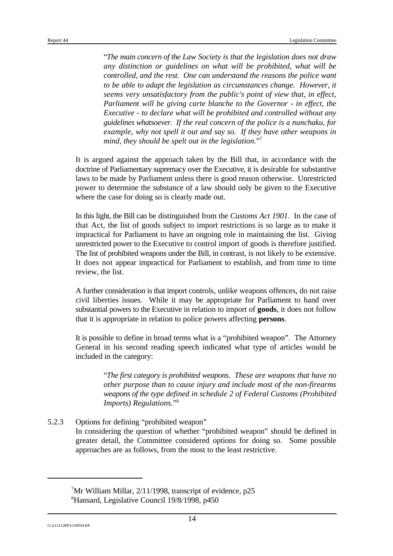"*The main concern of the Law Society is that the legislation does not draw any distinction or guidelines on what will be prohibited, what will be controlled, and the rest. One can understand the reasons the police want to be able to adapt the legislation as circumstances change. However, it seems very unsatisfactory from the public's point of view that, in effect, Parliament will be giving carte blanche to the Governor - in effect, the Executive - to declare what will be prohibited and controlled without any guidelines whatsoever. If the real concern of the police is a nunchaku, for example, why not spell it out and say so. If they have other weapons in mind, they should be spelt out in the legislation.*" 7

It is argued against the approach taken by the Bill that, in accordance with the doctrine of Parliamentary supremacy over the Executive, it is desirable for substantive laws to be made by Parliament unless there is good reason otherwise. Unrestricted power to determine the substance of a law should only be given to the Executive where the case for doing so is clearly made out.

In this light, the Bill can be distinguished from the *Customs Act 1901*. In the case of that Act, the list of goods subject to import restrictions is so large as to make it impractical for Parliament to have an ongoing role in maintaining the list. Giving unrestricted power to the Executive to control import of goods is therefore justified. The list of prohibited weapons under the Bill, in contrast, is not likely to be extensive. It does not appear impractical for Parliament to establish, and from time to time review, the list.

A further consideration is that import controls, unlike weapons offences, do not raise civil liberties issues. While it may be appropriate for Parliament to hand over substantial powers to the Executive in relation to import of **goods**, it does not follow that it is appropriate in relation to police powers affecting **persons**.

It is possible to define in broad terms what is a "prohibited weapon". The Attorney General in his second reading speech indicated what type of articles would be included in the category:

> "*The first category is prohibited weapons. These are weapons that have no other purpose than to cause injury and include most of the non-firearms weapons of the type defined in schedule 2 of Federal Customs (Prohibited Imports) Regulations.*" 8

5.2.3 Options for defining "prohibited weapon" In considering the question of whether "prohibited weapon" should be defined in greater detail, the Committee considered options for doing so. Some possible approaches are as follows, from the most to the least restrictive.

 ${}^{7}$ Mr William Millar, 2/11/1998, transcript of evidence, p25 <sup>8</sup> Hansard, Legislative Council 19/8/1998, p450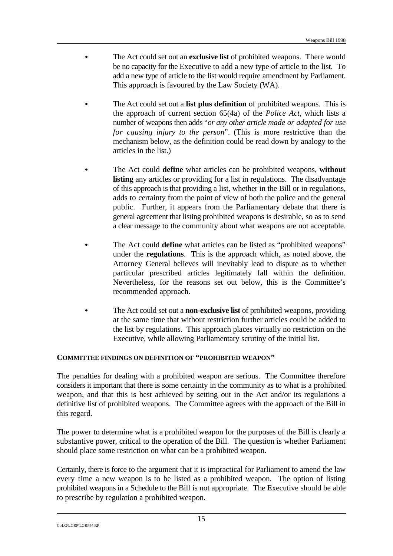- The Act could set out an **exclusive list** of prohibited weapons. There would be no capacity for the Executive to add a new type of article to the list. To add a new type of article to the list would require amendment by Parliament. This approach is favoured by the Law Society (WA).
- The Act could set out a **list plus definition** of prohibited weapons. This is the approach of current section 65(4a) of the *Police Act*, which lists a number of weapons then adds "*or any other article made or adapted for use for causing injury to the person*". (This is more restrictive than the mechanism below, as the definition could be read down by analogy to the articles in the list.)
- The Act could **define** what articles can be prohibited weapons, without **listing** any articles or providing for a list in regulations. The disadvantage of this approach is that providing a list, whether in the Bill or in regulations, adds to certainty from the point of view of both the police and the general public. Further, it appears from the Parliamentary debate that there is general agreement that listing prohibited weapons is desirable, so as to send a clear message to the community about what weapons are not acceptable.
- The Act could **define** what articles can be listed as "prohibited weapons" under the **regulations**. This is the approach which, as noted above, the Attorney General believes will inevitably lead to dispute as to whether particular prescribed articles legitimately fall within the definition. Nevertheless, for the reasons set out below, this is the Committee's recommended approach.
- The Act could set out a **non-exclusive list** of prohibited weapons, providing at the same time that without restriction further articles could be added to the list by regulations. This approach places virtually no restriction on the Executive, while allowing Parliamentary scrutiny of the initial list.

#### **COMMITTEE FINDINGS ON DEFINITION OF "PROHIBITED WEAPON"**

The penalties for dealing with a prohibited weapon are serious. The Committee therefore considers it important that there is some certainty in the community as to what is a prohibited weapon, and that this is best achieved by setting out in the Act and/or its regulations a definitive list of prohibited weapons. The Committee agrees with the approach of the Bill in this regard.

The power to determine what is a prohibited weapon for the purposes of the Bill is clearly a substantive power, critical to the operation of the Bill. The question is whether Parliament should place some restriction on what can be a prohibited weapon.

Certainly, there is force to the argument that it is impractical for Parliament to amend the law every time a new weapon is to be listed as a prohibited weapon. The option of listing prohibited weapons in a Schedule to the Bill is not appropriate. The Executive should be able to prescribe by regulation a prohibited weapon.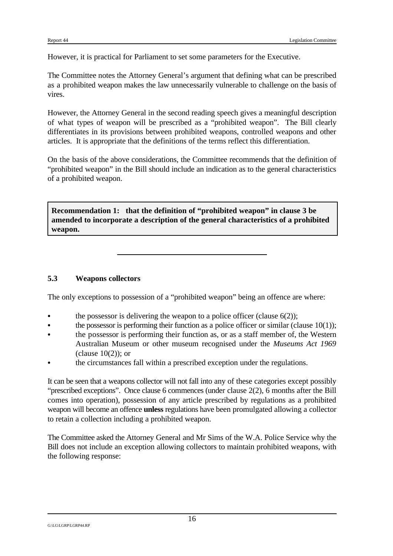However, it is practical for Parliament to set some parameters for the Executive.

The Committee notes the Attorney General's argument that defining what can be prescribed as a prohibited weapon makes the law unnecessarily vulnerable to challenge on the basis of vires.

However, the Attorney General in the second reading speech gives a meaningful description of what types of weapon will be prescribed as a "prohibited weapon". The Bill clearly differentiates in its provisions between prohibited weapons, controlled weapons and other articles. It is appropriate that the definitions of the terms reflect this differentiation.

On the basis of the above considerations, the Committee recommends that the definition of "prohibited weapon" in the Bill should include an indication as to the general characteristics of a prohibited weapon.

**Recommendation 1: that the definition of "prohibited weapon" in clause 3 be amended to incorporate a description of the general characteristics of a prohibited weapon.** 

#### **5.3 Weapons collectors**

The only exceptions to possession of a "prohibited weapon" being an offence are where:

- the possessor is delivering the weapon to a police officer (clause  $6(2)$ );
- the possessor is performing their function as a police officer or similar (clause  $10(1)$ );
- the possessor is performing their function as, or as a staff member of, the Western Australian Museum or other museum recognised under the *Museums Act 1969*  $clause 10(2)$ ; or
- the circumstances fall within a prescribed exception under the regulations.

It can be seen that a weapons collector will not fall into any of these categories except possibly "prescribed exceptions". Once clause 6 commences (under clause 2(2), 6 months after the Bill comes into operation), possession of any article prescribed by regulations as a prohibited weapon will become an offence **unless** regulations have been promulgated allowing a collector to retain a collection including a prohibited weapon.

The Committee asked the Attorney General and Mr Sims of the W.A. Police Service why the Bill does not include an exception allowing collectors to maintain prohibited weapons, with the following response: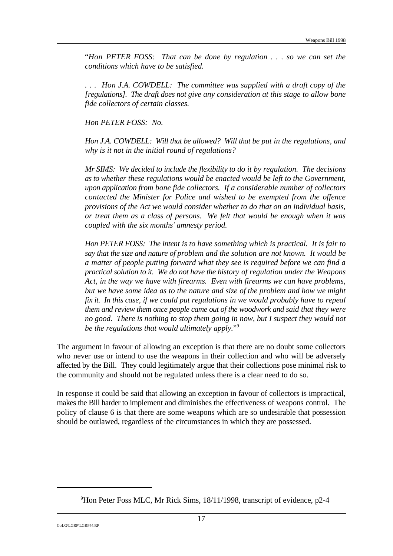"*Hon PETER FOSS: That can be done by regulation . . . so we can set the conditions which have to be satisfied.* 

*. . . Hon J.A. COWDELL: The committee was supplied with a draft copy of the [regulations]. The draft does not give any consideration at this stage to allow bone fide collectors of certain classes.*

*Hon PETER FOSS: No.*

*Hon J.A. COWDELL: Will that be allowed? Will that be put in the regulations, and why is it not in the initial round of regulations?*

*Mr SIMS: We decided to include the flexibility to do it by regulation. The decisions as to whether these regulations would be enacted would be left to the Government, upon application from bone fide collectors. If a considerable number of collectors contacted the Minister for Police and wished to be exempted from the offence provisions of the Act we would consider whether to do that on an individual basis, or treat them as a class of persons. We felt that would be enough when it was coupled with the six months' amnesty period.*

*Hon PETER FOSS: The intent is to have something which is practical. It is fair to say that the size and nature of problem and the solution are not known. It would be a matter of people putting forward what they see is required before we can find a practical solution to it. We do not have the history of regulation under the Weapons Act, in the way we have with firearms. Even with firearms we can have problems, but we have some idea as to the nature and size of the problem and how we might fix it. In this case, if we could put regulations in we would probably have to repeal them and review them once people came out of the woodwork and said that they were no good. There is nothing to stop them going in now, but I suspect they would not be the regulations that would ultimately apply.*" 9

The argument in favour of allowing an exception is that there are no doubt some collectors who never use or intend to use the weapons in their collection and who will be adversely affected by the Bill. They could legitimately argue that their collections pose minimal risk to the community and should not be regulated unless there is a clear need to do so.

In response it could be said that allowing an exception in favour of collectors is impractical, makes the Bill harder to implement and diminishes the effectiveness of weapons control. The policy of clause 6 is that there are some weapons which are so undesirable that possession should be outlawed, regardless of the circumstances in which they are possessed.

 $9$ Hon Peter Foss MLC, Mr Rick Sims, 18/11/1998, transcript of evidence, p2-4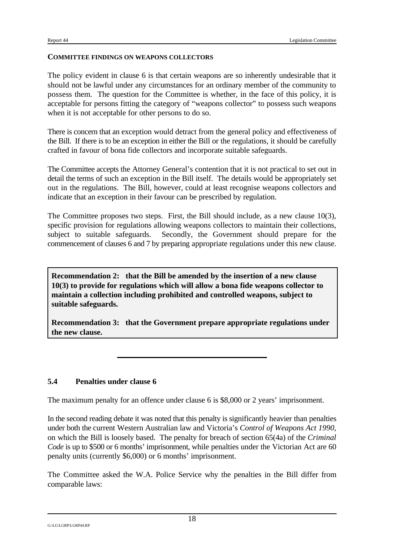#### **COMMITTEE FINDINGS ON WEAPONS COLLECTORS**

The policy evident in clause 6 is that certain weapons are so inherently undesirable that it should not be lawful under any circumstances for an ordinary member of the community to possess them. The question for the Committee is whether, in the face of this policy, it is acceptable for persons fitting the category of "weapons collector" to possess such weapons when it is not acceptable for other persons to do so.

There is concern that an exception would detract from the general policy and effectiveness of the Bill. If there is to be an exception in either the Bill or the regulations, it should be carefully crafted in favour of bona fide collectors and incorporate suitable safeguards.

The Committee accepts the Attorney General's contention that it is not practical to set out in detail the terms of such an exception in the Bill itself. The details would be appropriately set out in the regulations. The Bill, however, could at least recognise weapons collectors and indicate that an exception in their favour can be prescribed by regulation.

The Committee proposes two steps. First, the Bill should include, as a new clause 10(3), specific provision for regulations allowing weapons collectors to maintain their collections, subject to suitable safeguards. Secondly, the Government should prepare for the commencement of clauses 6 and 7 by preparing appropriate regulations under this new clause.

**Recommendation 2: that the Bill be amended by the insertion of a new clause 10(3) to provide for regulations which will allow a bona fide weapons collector to maintain a collection including prohibited and controlled weapons, subject to suitable safeguards.**

**Recommendation 3: that the Government prepare appropriate regulations under the new clause.**

#### **5.4 Penalties under clause 6**

The maximum penalty for an offence under clause 6 is \$8,000 or 2 years' imprisonment.

In the second reading debate it was noted that this penalty is significantly heavier than penalties under both the current Western Australian law and Victoria's *Control of Weapons Act 1990*, on which the Bill is loosely based. The penalty for breach of section 65(4a) of the *Criminal Code* is up to \$500 or 6 months' imprisonment, while penalties under the Victorian Act are 60 penalty units (currently \$6,000) or 6 months' imprisonment.

The Committee asked the W.A. Police Service why the penalties in the Bill differ from comparable laws: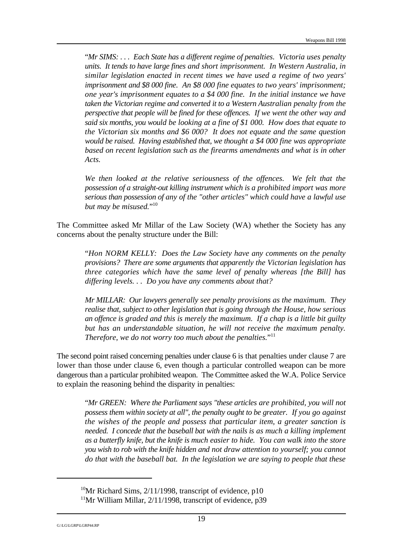"*Mr SIMS: . . . Each State has a different regime of penalties. Victoria uses penalty units. It tends to have large fines and short imprisonment. In Western Australia, in similar legislation enacted in recent times we have used a regime of two years' imprisonment and \$8 000 fine. An \$8 000 fine equates to two years' imprisonment; one year's imprisonment equates to a \$4 000 fine. In the initial instance we have taken the Victorian regime and converted it to a Western Australian penalty from the perspective that people will be fined for these offences. If we went the other way and said six months, you would be looking at a fine of \$1 000. How does that equate to the Victorian six months and \$6 000? It does not equate and the same question would be raised. Having established that, we thought a \$4 000 fine was appropriate based on recent legislation such as the firearms amendments and what is in other Acts.* 

*We then looked at the relative seriousness of the offences. We felt that the possession of a straight-out killing instrument which is a prohibited import was more serious than possession of any of the "other articles" which could have a lawful use but may be misused.*" 10

The Committee asked Mr Millar of the Law Society (WA) whether the Society has any concerns about the penalty structure under the Bill:

"*Hon NORM KELLY: Does the Law Society have any comments on the penalty provisions? There are some arguments that apparently the Victorian legislation has three categories which have the same level of penalty whereas [the Bill] has differing levels. . . Do you have any comments about that?*

*Mr MILLAR: Our lawyers generally see penalty provisions as the maximum. They realise that, subject to other legislation that is going through the House, how serious an offence is graded and this is merely the maximum. If a chap is a little bit guilty but has an understandable situation, he will not receive the maximum penalty. Therefore, we do not worry too much about the penalties.*" 11

The second point raised concerning penalties under clause 6 is that penalties under clause 7 are lower than those under clause 6, even though a particular controlled weapon can be more dangerous than a particular prohibited weapon. The Committee asked the W.A. Police Service to explain the reasoning behind the disparity in penalties:

"*Mr GREEN: Where the Parliament says "these articles are prohibited, you will not possess them within society at all", the penalty ought to be greater. If you go against the wishes of the people and possess that particular item, a greater sanction is needed. I concede that the baseball bat with the nails is as much a killing implement as a butterfly knife, but the knife is much easier to hide. You can walk into the store you wish to rob with the knife hidden and not draw attention to yourself; you cannot do that with the baseball bat. In the legislation we are saying to people that these*

<sup>&</sup>lt;sup>10</sup>Mr Richard Sims,  $2/11/1998$ , transcript of evidence, p10

<sup>&</sup>lt;sup>11</sup>Mr William Millar,  $2/11/1998$ , transcript of evidence, p39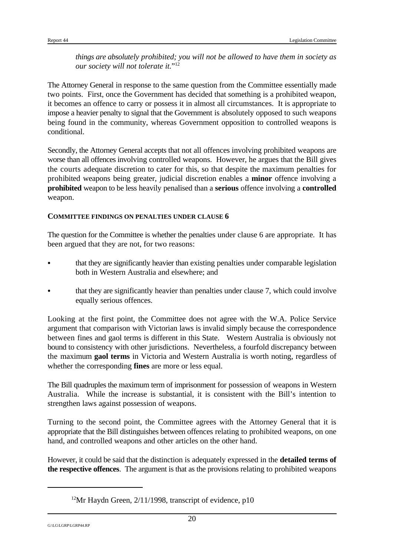*things are absolutely prohibited; you will not be allowed to have them in society as our society will not tolerate it.*" 12

The Attorney General in response to the same question from the Committee essentially made two points. First, once the Government has decided that something is a prohibited weapon, it becomes an offence to carry or possess it in almost all circumstances. It is appropriate to impose a heavier penalty to signal that the Government is absolutely opposed to such weapons being found in the community, whereas Government opposition to controlled weapons is conditional.

Secondly, the Attorney General accepts that not all offences involving prohibited weapons are worse than all offences involving controlled weapons. However, he argues that the Bill gives the courts adequate discretion to cater for this, so that despite the maximum penalties for prohibited weapons being greater, judicial discretion enables a **minor** offence involving a **prohibited** weapon to be less heavily penalised than a **serious** offence involving a **controlled** weapon.

#### **COMMITTEE FINDINGS ON PENALTIES UNDER CLAUSE 6**

The question for the Committee is whether the penalties under clause 6 are appropriate. It has been argued that they are not, for two reasons:

- that they are significantly heavier than existing penalties under comparable legislation both in Western Australia and elsewhere; and
- that they are significantly heavier than penalties under clause 7, which could involve equally serious offences.

Looking at the first point, the Committee does not agree with the W.A. Police Service argument that comparison with Victorian laws is invalid simply because the correspondence between fines and gaol terms is different in this State. Western Australia is obviously not bound to consistency with other jurisdictions. Nevertheless, a fourfold discrepancy between the maximum **gaol terms** in Victoria and Western Australia is worth noting, regardless of whether the corresponding **fines** are more or less equal.

The Bill quadruples the maximum term of imprisonment for possession of weapons in Western Australia. While the increase is substantial, it is consistent with the Bill's intention to strengthen laws against possession of weapons.

Turning to the second point, the Committee agrees with the Attorney General that it is appropriate that the Bill distinguishes between offences relating to prohibited weapons, on one hand, and controlled weapons and other articles on the other hand.

However, it could be said that the distinction is adequately expressed in the **detailed terms of the respective offences**. The argument is that as the provisions relating to prohibited weapons

<sup>&</sup>lt;sup>12</sup>Mr Haydn Green,  $2/11/1998$ , transcript of evidence, p10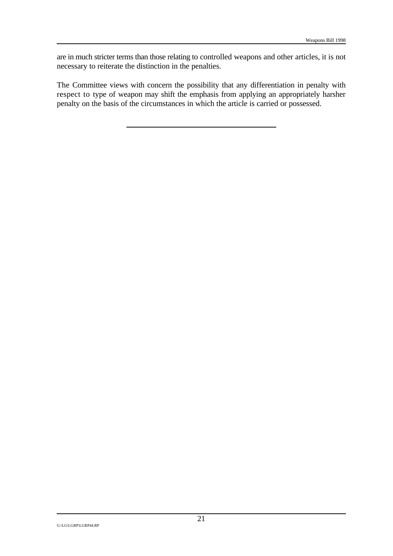are in much stricter terms than those relating to controlled weapons and other articles, it is not necessary to reiterate the distinction in the penalties.

The Committee views with concern the possibility that any differentiation in penalty with respect to type of weapon may shift the emphasis from applying an appropriately harsher penalty on the basis of the circumstances in which the article is carried or possessed.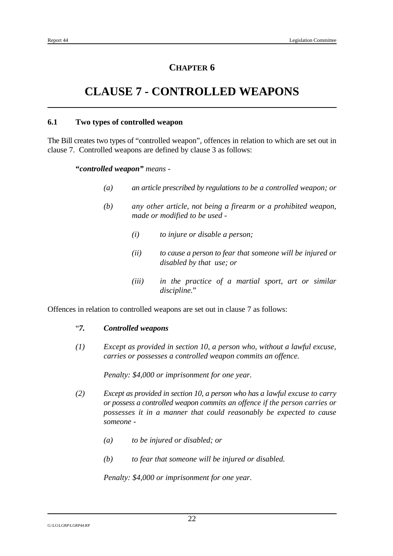# **CLAUSE 7 - CONTROLLED WEAPONS**

#### **6.1 Two types of controlled weapon**

The Bill creates two types of "controlled weapon", offences in relation to which are set out in clause 7. Controlled weapons are defined by clause 3 as follows:

#### **"***controlled weapon" means -*

- *(a) an article prescribed by regulations to be a controlled weapon; or*
- *(b) any other article, not being a firearm or a prohibited weapon, made or modified to be used -*
	- *(i) to injure or disable a person;*
	- *(ii) to cause a person to fear that someone will be injured or disabled by that use; or*
	- *(iii) in the practice of a martial sport, art or similar discipline.*"

Offences in relation to controlled weapons are set out in clause 7 as follows:

#### "*7. Controlled weapons*

*(1) Except as provided in section 10, a person who, without a lawful excuse, carries or possesses a controlled weapon commits an offence.*

*Penalty: \$4,000 or imprisonment for one year.*

- *(2) Except as provided in section 10, a person who has a lawful excuse to carry or possess a controlled weapon commits an offence if the person carries or possesses it in a manner that could reasonably be expected to cause someone -*
	- *(a) to be injured or disabled; or*
	- *(b) to fear that someone will be injured or disabled.*

*Penalty: \$4,000 or imprisonment for one year.*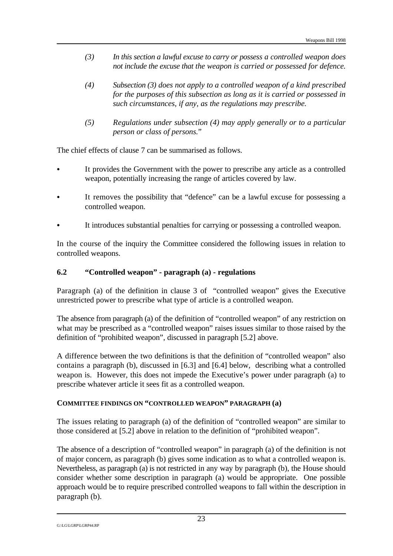- *(3) In this section a lawful excuse to carry or possess a controlled weapon does not include the excuse that the weapon is carried or possessed for defence.*
- *(4) Subsection (3) does not apply to a controlled weapon of a kind prescribed for the purposes of this subsection as long as it is carried or possessed in such circumstances, if any, as the regulations may prescribe.*
- *(5) Regulations under subsection (4) may apply generally or to a particular person or class of persons.*"

The chief effects of clause 7 can be summarised as follows.

- It provides the Government with the power to prescribe any article as a controlled weapon, potentially increasing the range of articles covered by law.
- It removes the possibility that "defence" can be a lawful excuse for possessing a controlled weapon.
- It introduces substantial penalties for carrying or possessing a controlled weapon.

In the course of the inquiry the Committee considered the following issues in relation to controlled weapons.

#### **6.2 "Controlled weapon" - paragraph (a) - regulations**

Paragraph (a) of the definition in clause 3 of "controlled weapon" gives the Executive unrestricted power to prescribe what type of article is a controlled weapon.

The absence from paragraph (a) of the definition of "controlled weapon" of any restriction on what may be prescribed as a "controlled weapon" raises issues similar to those raised by the definition of "prohibited weapon", discussed in paragraph [5.2] above.

A difference between the two definitions is that the definition of "controlled weapon" also contains a paragraph (b), discussed in [6.3] and [6.4] below, describing what a controlled weapon is. However, this does not impede the Executive's power under paragraph (a) to prescribe whatever article it sees fit as a controlled weapon.

#### **COMMITTEE FINDINGS ON "CONTROLLED WEAPON" PARAGRAPH (a)**

The issues relating to paragraph (a) of the definition of "controlled weapon" are similar to those considered at [5.2] above in relation to the definition of "prohibited weapon".

The absence of a description of "controlled weapon" in paragraph (a) of the definition is not of major concern, as paragraph (b) gives some indication as to what a controlled weapon is. Nevertheless, as paragraph (a) is not restricted in any way by paragraph (b), the House should consider whether some description in paragraph (a) would be appropriate. One possible approach would be to require prescribed controlled weapons to fall within the description in paragraph (b).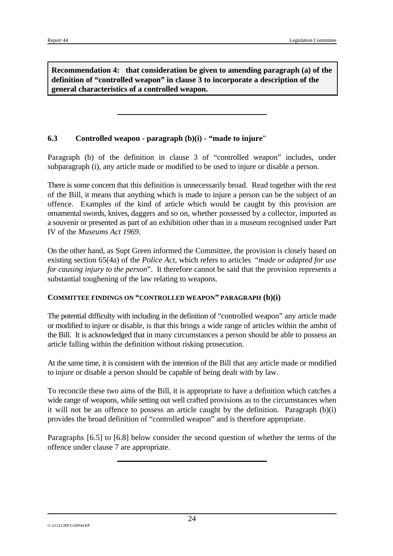**Recommendation 4: that consideration be given to amending paragraph (a) of the definition of "controlled weapon" in clause 3 to incorporate a description of the general characteristics of a controlled weapon.**

#### **6.3 Controlled weapon - paragraph (b)(i) - "made to injure**"

Paragraph (b) of the definition in clause 3 of "controlled weapon" includes, under subparagraph (i), any article made or modified to be used to injure or disable a person.

There is some concern that this definition is unnecessarily broad. Read together with the rest of the Bill, it means that anything which is made to injure a person can be the subject of an offence. Examples of the kind of article which would be caught by this provision are ornamental swords, knives, daggers and so on, whether possessed by a collector, imported as a souvenir or presented as part of an exhibition other than in a museum recognised under Part IV of the *Museums Act 1969*.

On the other hand, as Supt Green informed the Committee, the provision is closely based on existing section 65(4a) of the *Police Act*, which refers to articles "*made or adapted for use for causing injury to the person*". It therefore cannot be said that the provision represents a substantial toughening of the law relating to weapons.

#### **COMMITTEE FINDINGS ON "CONTROLLED WEAPON" PARAGRAPH (b)(i)**

The potential difficulty with including in the definition of "controlled weapon" any article made or modified to injure or disable, is that this brings a wide range of articles within the ambit of the Bill. It is acknowledged that in many circumstances a person should be able to possess an article falling within the definition without risking prosecution.

At the same time, it is consistent with the intention of the Bill that any article made or modified to injure or disable a person should be capable of being dealt with by law.

To reconcile these two aims of the Bill, it is appropriate to have a definition which catches a wide range of weapons, while setting out well crafted provisions as to the circumstances when it will not be an offence to possess an article caught by the definition. Paragraph (b)(i) provides the broad definition of "controlled weapon" and is therefore appropriate.

Paragraphs [6.5] to [6.8] below consider the second question of whether the terms of the offence under clause 7 are appropriate.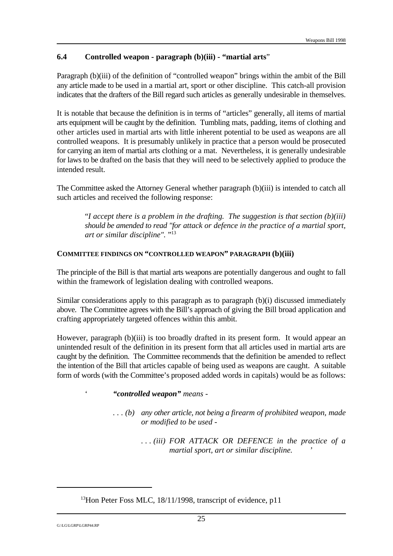#### **6.4 Controlled weapon - paragraph (b)(iii) - "martial arts**"

Paragraph (b)(iii) of the definition of "controlled weapon" brings within the ambit of the Bill any article made to be used in a martial art, sport or other discipline. This catch-all provision indicates that the drafters of the Bill regard such articles as generally undesirable in themselves.

It is notable that because the definition is in terms of "articles" generally, all items of martial arts equipment will be caught by the definition. Tumbling mats, padding, items of clothing and other articles used in martial arts with little inherent potential to be used as weapons are all controlled weapons. It is presumably unlikely in practice that a person would be prosecuted for carrying an item of martial arts clothing or a mat. Nevertheless, it is generally undesirable for laws to be drafted on the basis that they will need to be selectively applied to produce the intended result.

The Committee asked the Attorney General whether paragraph (b)(iii) is intended to catch all such articles and received the following response:

"*I accept there is a problem in the drafting. The suggestion is that section (b)(iii) should be amended to read "for attack or defence in the practice of a martial sport, art or similar discipline".* " 13

#### **COMMITTEE FINDINGS ON "CONTROLLED WEAPON" PARAGRAPH (b)(iii)**

The principle of the Bill is that martial arts weapons are potentially dangerous and ought to fall within the framework of legislation dealing with controlled weapons.

Similar considerations apply to this paragraph as to paragraph (b)(i) discussed immediately above. The Committee agrees with the Bill's approach of giving the Bill broad application and crafting appropriately targeted offences within this ambit.

However, paragraph (b)(iii) is too broadly drafted in its present form. It would appear an unintended result of the definition in its present form that all articles used in martial arts are caught by the definition. The Committee recommends that the definition be amended to reflect the intention of the Bill that articles capable of being used as weapons are caught. A suitable form of words (with the Committee's proposed added words in capitals) would be as follows:

' *"controlled weapon" means -* 

*. . . (b) any other article, not being a firearm of prohibited weapon, made or modified to be used -*

> *. . . (iii) FOR ATTACK OR DEFENCE in the practice of a martial sport, art or similar discipline. '*

 $^{13}$ Hon Peter Foss MLC, 18/11/1998, transcript of evidence, p11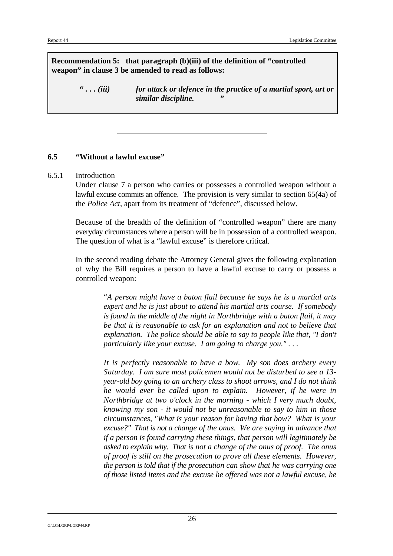**Recommendation 5: that paragraph (b)(iii) of the definition of "controlled weapon" in clause 3 be amended to read as follows:**

> **"** *. . . (iii) for attack or defence in the practice of a martial sport, art or similar discipline. "*

#### **6.5 "Without a lawful excuse"**

#### 6.5.1 Introduction

Under clause 7 a person who carries or possesses a controlled weapon without a lawful excuse commits an offence. The provision is very similar to section 65(4a) of the *Police Act*, apart from its treatment of "defence", discussed below.

Because of the breadth of the definition of "controlled weapon" there are many everyday circumstances where a person will be in possession of a controlled weapon. The question of what is a "lawful excuse" is therefore critical.

In the second reading debate the Attorney General gives the following explanation of why the Bill requires a person to have a lawful excuse to carry or possess a controlled weapon:

> "*A person might have a baton flail because he says he is a martial arts expert and he is just about to attend his martial arts course. If somebody is found in the middle of the night in Northbridge with a baton flail, it may be that it is reasonable to ask for an explanation and not to believe that explanation. The police should be able to say to people like that, "I don't particularly like your excuse. I am going to charge you." . . .*

> *It is perfectly reasonable to have a bow. My son does archery every Saturday. I am sure most policemen would not be disturbed to see a 13 year-old boy going to an archery class to shoot arrows, and I do not think he would ever be called upon to explain. However, if he were in Northbridge at two o'clock in the morning - which I very much doubt, knowing my son - it would not be unreasonable to say to him in those circumstances, "What is your reason for having that bow? What is your excuse?" That is not a change of the onus. We are saying in advance that if a person is found carrying these things, that person will legitimately be asked to explain why. That is not a change of the onus of proof. The onus of proof is still on the prosecution to prove all these elements. However, the person is told that if the prosecution can show that he was carrying one of those listed items and the excuse he offered was not a lawful excuse, he*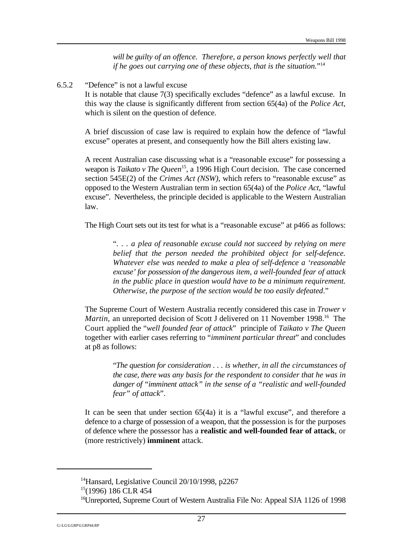*will be guilty of an offence. Therefore, a person knows perfectly well that if he goes out carrying one of these objects, that is the situation.*" 14

6.5.2 "Defence" is not a lawful excuse

It is notable that clause 7(3) specifically excludes "defence" as a lawful excuse. In this way the clause is significantly different from section 65(4a) of the *Police Act*, which is silent on the question of defence.

A brief discussion of case law is required to explain how the defence of "lawful excuse" operates at present, and consequently how the Bill alters existing law.

A recent Australian case discussing what is a "reasonable excuse" for possessing a weapon is *Taikato v The Queen*<sup>15</sup>, a 1996 High Court decision. The case concerned section 545E(2) of the *Crimes Act (NSW)*, which refers to "reasonable excuse" as opposed to the Western Australian term in section 65(4a) of the *Police Act*, "lawful excuse". Nevertheless, the principle decided is applicable to the Western Australian law.

The High Court sets out its test for what is a "reasonable excuse" at p466 as follows:

"*. . . a plea of reasonable excuse could not succeed by relying on mere belief that the person needed the prohibited object for self-defence. Whatever else was needed to make a plea of self-defence a 'reasonable excuse' for possession of the dangerous item, a well-founded fear of attack in the public place in question would have to be a minimum requirement. Otherwise, the purpose of the section would be too easily defeated*."

The Supreme Court of Western Australia recently considered this case in *Trower v Martin*, an unreported decision of Scott J delivered on 11 November 1998.<sup>16</sup> The Court applied the "*well founded fear of attack*" principle of *Taikato v The Queen* together with earlier cases referring to "*imminent particular threat*" and concludes at p8 as follows:

> "*The question for consideration . . . is whether, in all the circumstances of the case, there was any basis for the respondent to consider that he was in danger of "imminent attack" in the sense of a "realistic and well-founded fear" of attack*".

It can be seen that under section 65(4a) it is a "lawful excuse", and therefore a defence to a charge of possession of a weapon, that the possession is for the purposes of defence where the possessor has a **realistic and well-founded fear of attack**, or (more restrictively) **imminent** attack.

<sup>&</sup>lt;sup>14</sup> Hansard, Legislative Council  $20/10/1998$ , p $2267$ 

 $15(1996)$  186 CLR 454

<sup>&</sup>lt;sup>16</sup>Unreported, Supreme Court of Western Australia File No: Appeal SJA 1126 of 1998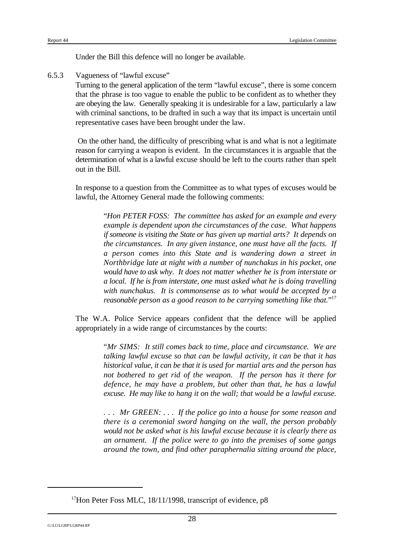Under the Bill this defence will no longer be available.

6.5.3 Vagueness of "lawful excuse"

Turning to the general application of the term "lawful excuse", there is some concern that the phrase is too vague to enable the public to be confident as to whether they are obeying the law. Generally speaking it is undesirable for a law, particularly a law with criminal sanctions, to be drafted in such a way that its impact is uncertain until representative cases have been brought under the law.

On the other hand, the difficulty of prescribing what is and what is not a legitimate reason for carrying a weapon is evident. In the circumstances it is arguable that the determination of what is a lawful excuse should be left to the courts rather than spelt out in the Bill.

In response to a question from the Committee as to what types of excuses would be lawful, the Attorney General made the following comments:

> "*Hon PETER FOSS: The committee has asked for an example and every example is dependent upon the circumstances of the case. What happens if someone is visiting the State or has given up martial arts? It depends on the circumstances. In any given instance, one must have all the facts. If a person comes into this State and is wandering down a street in Northbridge late at night with a number of nunchakus in his pocket, one would have to ask why. It does not matter whether he is from interstate or a local. If he is from interstate, one must asked what he is doing travelling with nunchakus. It is commonsense as to what would be accepted by a reasonable person as a good reason to be carrying something like that.*" 17

The W.A. Police Service appears confident that the defence will be applied appropriately in a wide range of circumstances by the courts:

> "*Mr SIMS: It still comes back to time, place and circumstance. We are talking lawful excuse so that can be lawful activity, it can be that it has historical value, it can be that it is used for martial arts and the person has not bothered to get rid of the weapon. If the person has it there for defence, he may have a problem, but other than that, he has a lawful excuse. He may like to hang it on the wall; that would be a lawful excuse.*

> *. . . Mr GREEN: . . . If the police go into a house for some reason and there is a ceremonial sword hanging on the wall, the person probably would not be asked what is his lawful excuse because it is clearly there as an ornament. If the police were to go into the premises of some gangs around the town, and find other paraphernalia sitting around the place,*

<sup>&</sup>lt;sup>17</sup>Hon Peter Foss MLC, 18/11/1998, transcript of evidence, p8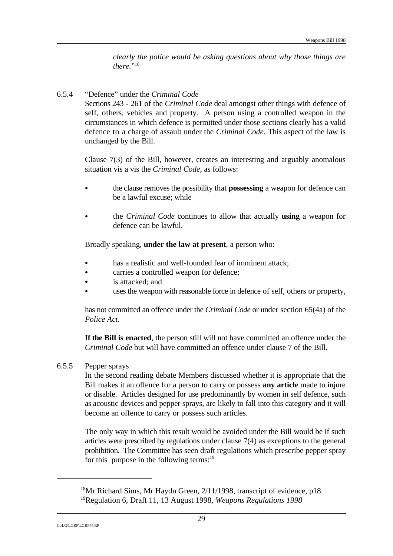*clearly the police would be asking questions about why those things are* there."<sup>18</sup>

#### 6.5.4 "Defence" under the *Criminal Code*

Sections 243 - 261 of the *Criminal Code* deal amongst other things with defence of self, others, vehicles and property. A person using a controlled weapon in the circumstances in which defence is permitted under those sections clearly has a valid defence to a charge of assault under the *Criminal Code*. This aspect of the law is unchanged by the Bill.

Clause 7(3) of the Bill, however, creates an interesting and arguably anomalous situation vis a vis the *Criminal Code*, as follows:

- C the clause removes the possibility that **possessing** a weapon for defence can be a lawful excuse; while
- C the *Criminal Code* continues to allow that actually **using** a weapon for defence can be lawful.

Broadly speaking, **under the law at present**, a person who:

- has a realistic and well-founded fear of imminent attack;
- carries a controlled weapon for defence:
- is attacked; and
- uses the weapon with reasonable force in defence of self, others or property,

has not committed an offence under the *Criminal Code* or under section 65(4a) of the *Police Act*.

**If the Bill is enacted**, the person still will not have committed an offence under the *Criminal Code* but will have committed an offence under clause 7 of the Bill.

#### 6.5.5 Pepper sprays

In the second reading debate Members discussed whether it is appropriate that the Bill makes it an offence for a person to carry or possess **any article** made to injure or disable. Articles designed for use predominantly by women in self defence, such as acoustic devices and pepper sprays, are likely to fall into this category and it will become an offence to carry or possess such articles.

The only way in which this result would be avoided under the Bill would be if such articles were prescribed by regulations under clause 7(4) as exceptions to the general prohibition. The Committee has seen draft regulations which prescribe pepper spray for this purpose in the following terms: $19$ 

<sup>&</sup>lt;sup>18</sup>Mr Richard Sims, Mr Haydn Green,  $2/11/1998$ , transcript of evidence, p18 <sup>19</sup>Regulation 6, Draft 11, 13 August 1998, *Weapons Regulations 1998*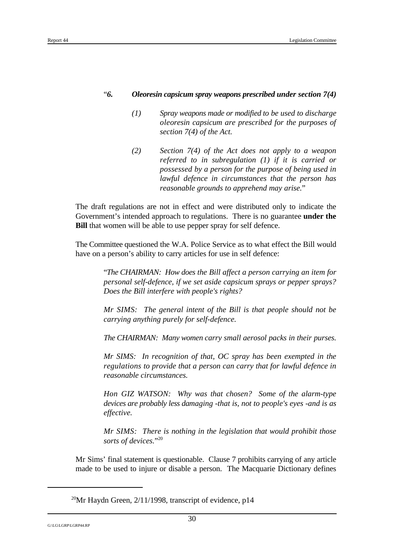### "*6. Oleoresin capsicum spray weapons prescribed under section 7(4)*

- *(1) Spray weapons made or modified to be used to discharge oleoresin capsicum are prescribed for the purposes of section 7(4) of the Act.*
- *(2) Section 7(4) of the Act does not apply to a weapon referred to in subregulation (1) if it is carried or possessed by a person for the purpose of being used in lawful defence in circumstances that the person has reasonable grounds to apprehend may arise.*"

The draft regulations are not in effect and were distributed only to indicate the Government's intended approach to regulations. There is no guarantee **under the Bill** that women will be able to use pepper spray for self defence.

The Committee questioned the W.A. Police Service as to what effect the Bill would have on a person's ability to carry articles for use in self defence:

> "*The CHAIRMAN: How does the Bill affect a person carrying an item for personal self-defence, if we set aside capsicum sprays or pepper sprays? Does the Bill interfere with people's rights?*

> *Mr SIMS: The general intent of the Bill is that people should not be carrying anything purely for self-defence.*

> *The CHAIRMAN: Many women carry small aerosol packs in their purses.*

*Mr SIMS: In recognition of that, OC spray has been exempted in the regulations to provide that a person can carry that for lawful defence in reasonable circumstances.*

*Hon GIZ WATSON: Why was that chosen? Some of the alarm-type devices are probably less damaging -that is, not to people's eyes -and is as effective.*

*Mr SIMS: There is nothing in the legislation that would prohibit those sorts of devices.*" 20

Mr Sims' final statement is questionable. Clause 7 prohibits carrying of any article made to be used to injure or disable a person. The Macquarie Dictionary defines

<sup>&</sup>lt;sup>20</sup>Mr Haydn Green,  $2/11/1998$ , transcript of evidence, p14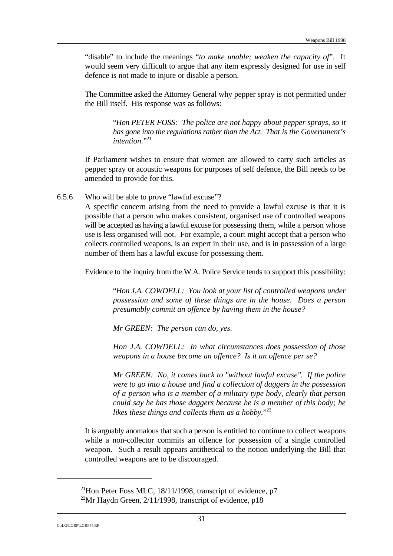"disable" to include the meanings "*to make unable; weaken the capacity of*". It would seem very difficult to argue that any item expressly designed for use in self defence is not made to injure or disable a person.

The Committee asked the Attorney General why pepper spray is not permitted under the Bill itself. His response was as follows:

> "*Hon PETER FOSS: The police are not happy about pepper sprays, so it has gone into the regulations rather than the Act. That is the Government's intention.*" 21

If Parliament wishes to ensure that women are allowed to carry such articles as pepper spray or acoustic weapons for purposes of self defence, the Bill needs to be amended to provide for this.

6.5.6 Who will be able to prove "lawful excuse"?

A specific concern arising from the need to provide a lawful excuse is that it is possible that a person who makes consistent, organised use of controlled weapons will be accepted as having a lawful excuse for possessing them, while a person whose use is less organised will not. For example, a court might accept that a person who collects controlled weapons, is an expert in their use, and is in possession of a large number of them has a lawful excuse for possessing them.

Evidence to the inquiry from the W.A. Police Service tends to support this possibility:

"*Hon J.A. COWDELL: You look at your list of controlled weapons under possession and some of these things are in the house. Does a person presumably commit an offence by having them in the house?*

*Mr GREEN: The person can do, yes.*

*Hon J.A. COWDELL: In what circumstances does possession of those weapons in a house become an offence? Is it an offence per se?*

*Mr GREEN: No, it comes back to "without lawful excuse". If the police were to go into a house and find a collection of daggers in the possession of a person who is a member of a military type body, clearly that person could say he has those daggers because he is a member of this body; he likes these things and collects them as a hobby.*" 22

It is arguably anomalous that such a person is entitled to continue to collect weapons while a non-collector commits an offence for possession of a single controlled weapon. Such a result appears antithetical to the notion underlying the Bill that controlled weapons are to be discouraged.

<sup>&</sup>lt;sup>21</sup>Hon Peter Foss MLC,  $18/11/1998$ , transcript of evidence, p7

<sup>&</sup>lt;sup>22</sup>Mr Haydn Green,  $2/11/1998$ , transcript of evidence, p18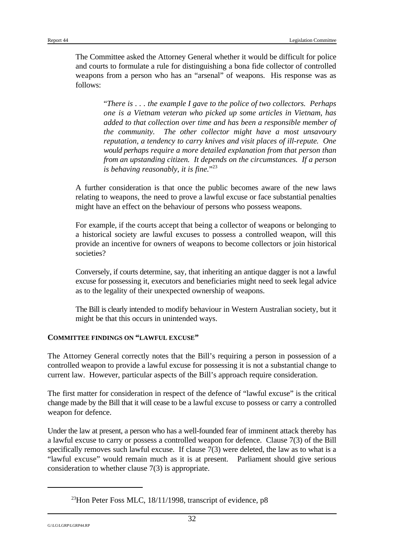The Committee asked the Attorney General whether it would be difficult for police and courts to formulate a rule for distinguishing a bona fide collector of controlled weapons from a person who has an "arsenal" of weapons. His response was as follows:

> "*There is . . . the example I gave to the police of two collectors. Perhaps one is a Vietnam veteran who picked up some articles in Vietnam, has added to that collection over time and has been a responsible member of the community. The other collector might have a most unsavoury reputation, a tendency to carry knives and visit places of ill-repute. One would perhaps require a more detailed explanation from that person than from an upstanding citizen. It depends on the circumstances. If a person is behaving reasonably, it is fine.*" 23

A further consideration is that once the public becomes aware of the new laws relating to weapons, the need to prove a lawful excuse or face substantial penalties might have an effect on the behaviour of persons who possess weapons.

For example, if the courts accept that being a collector of weapons or belonging to a historical society are lawful excuses to possess a controlled weapon, will this provide an incentive for owners of weapons to become collectors or join historical societies?

Conversely, if courts determine, say, that inheriting an antique dagger is not a lawful excuse for possessing it, executors and beneficiaries might need to seek legal advice as to the legality of their unexpected ownership of weapons.

The Bill is clearly intended to modify behaviour in Western Australian society, but it might be that this occurs in unintended ways.

#### **COMMITTEE FINDINGS ON "LAWFUL EXCUSE"**

The Attorney General correctly notes that the Bill's requiring a person in possession of a controlled weapon to provide a lawful excuse for possessing it is not a substantial change to current law. However, particular aspects of the Bill's approach require consideration.

The first matter for consideration in respect of the defence of "lawful excuse" is the critical change made by the Bill that it will cease to be a lawful excuse to possess or carry a controlled weapon for defence.

Under the law at present, a person who has a well-founded fear of imminent attack thereby has a lawful excuse to carry or possess a controlled weapon for defence. Clause 7(3) of the Bill specifically removes such lawful excuse. If clause 7(3) were deleted, the law as to what is a "lawful excuse" would remain much as it is at present. Parliament should give serious consideration to whether clause 7(3) is appropriate.

<sup>&</sup>lt;sup>23</sup>Hon Peter Foss MLC, 18/11/1998, transcript of evidence, p8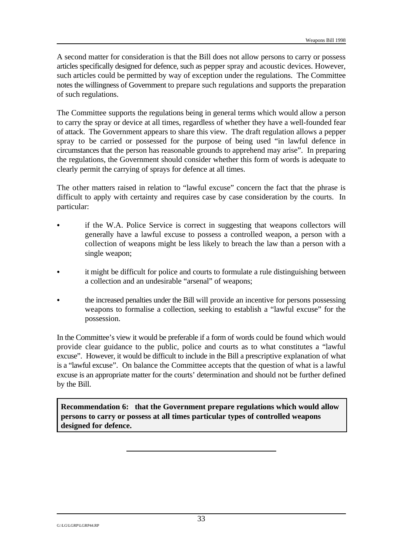A second matter for consideration is that the Bill does not allow persons to carry or possess articles specifically designed for defence, such as pepper spray and acoustic devices. However, such articles could be permitted by way of exception under the regulations. The Committee notes the willingness of Government to prepare such regulations and supports the preparation of such regulations.

The Committee supports the regulations being in general terms which would allow a person to carry the spray or device at all times, regardless of whether they have a well-founded fear of attack. The Government appears to share this view. The draft regulation allows a pepper spray to be carried or possessed for the purpose of being used "in lawful defence in circumstances that the person has reasonable grounds to apprehend may arise". In preparing the regulations, the Government should consider whether this form of words is adequate to clearly permit the carrying of sprays for defence at all times.

The other matters raised in relation to "lawful excuse" concern the fact that the phrase is difficult to apply with certainty and requires case by case consideration by the courts. In particular:

- if the W.A. Police Service is correct in suggesting that weapons collectors will generally have a lawful excuse to possess a controlled weapon, a person with a collection of weapons might be less likely to breach the law than a person with a single weapon;
- it might be difficult for police and courts to formulate a rule distinguishing between a collection and an undesirable "arsenal" of weapons;
- C the increased penalties under the Bill will provide an incentive for persons possessing weapons to formalise a collection, seeking to establish a "lawful excuse" for the possession.

In the Committee's view it would be preferable if a form of words could be found which would provide clear guidance to the public, police and courts as to what constitutes a "lawful excuse". However, it would be difficult to include in the Bill a prescriptive explanation of what is a "lawful excuse". On balance the Committee accepts that the question of what is a lawful excuse is an appropriate matter for the courts' determination and should not be further defined by the Bill.

**Recommendation 6: that the Government prepare regulations which would allow persons to carry or possess at all times particular types of controlled weapons designed for defence.**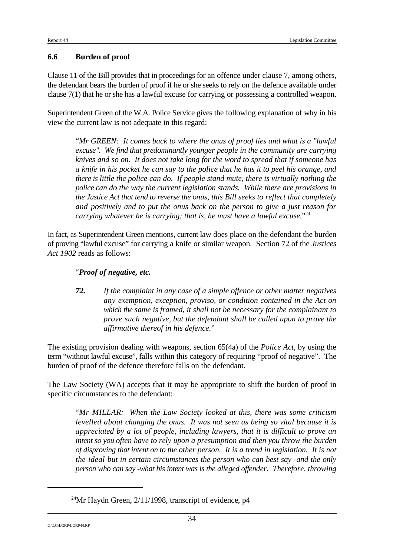#### **6.6 Burden of proof**

Clause 11 of the Bill provides that in proceedings for an offence under clause 7, among others, the defendant bears the burden of proof if he or she seeks to rely on the defence available under clause 7(1) that he or she has a lawful excuse for carrying or possessing a controlled weapon.

Superintendent Green of the W.A. Police Service gives the following explanation of why in his view the current law is not adequate in this regard:

"*Mr GREEN: It comes back to where the onus of proof lies and what is a "lawful excuse". We find that predominantly younger people in the community are carrying knives and so on. It does not take long for the word to spread that if someone has a knife in his pocket he can say to the police that he has it to peel his orange, and there is little the police can do. If people stand mute, there is virtually nothing the police can do the way the current legislation stands. While there are provisions in the Justice Act that tend to reverse the onus, this Bill seeks to reflect that completely and positively and to put the onus back on the person to give a just reason for carrying whatever he is carrying; that is, he must have a lawful excuse.*" 24

In fact, as Superintendent Green mentions, current law does place on the defendant the burden of proving "lawful excuse" for carrying a knife or similar weapon. Section 72 of the *Justices Act 1902* reads as follows:

#### "*Proof of negative, etc.*

*72. If the complaint in any case of a simple offence or other matter negatives any exemption, exception, proviso, or condition contained in the Act on which the same is framed, it shall not be necessary for the complainant to prove such negative, but the defendant shall be called upon to prove the affirmative thereof in his defence.*"

The existing provision dealing with weapons, section 65(4a) of the *Police Act*, by using the term "without lawful excuse", falls within this category of requiring "proof of negative". The burden of proof of the defence therefore falls on the defendant.

The Law Society (WA) accepts that it may be appropriate to shift the burden of proof in specific circumstances to the defendant:

"*Mr MILLAR: When the Law Society looked at this, there was some criticism levelled about changing the onus. It was not seen as being so vital because it is appreciated by a lot of people, including lawyers, that it is difficult to prove an intent so you often have to rely upon a presumption and then you throw the burden of disproving that intent on to the other person. It is a trend in legislation. It is not the ideal but in certain circumstances the person who can best say -and the only person who can say -what his intent was is the alleged offender. Therefore, throwing*

<sup>&</sup>lt;sup>24</sup>Mr Haydn Green,  $2/11/1998$ , transcript of evidence, p4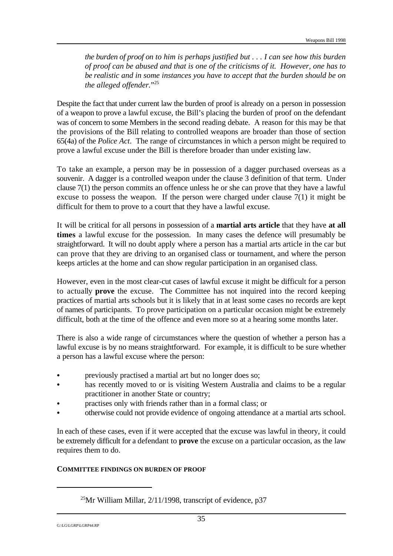*the burden of proof on to him is perhaps justified but . . . I can see how this burden of proof can be abused and that is one of the criticisms of it. However, one has to be realistic and in some instances you have to accept that the burden should be on the alleged offender.*" 25

Despite the fact that under current law the burden of proof is already on a person in possession of a weapon to prove a lawful excuse, the Bill's placing the burden of proof on the defendant was of concern to some Members in the second reading debate. A reason for this may be that the provisions of the Bill relating to controlled weapons are broader than those of section 65(4a) of the *Police Act*. The range of circumstances in which a person might be required to prove a lawful excuse under the Bill is therefore broader than under existing law.

To take an example, a person may be in possession of a dagger purchased overseas as a souvenir. A dagger is a controlled weapon under the clause 3 definition of that term. Under clause 7(1) the person commits an offence unless he or she can prove that they have a lawful excuse to possess the weapon. If the person were charged under clause 7(1) it might be difficult for them to prove to a court that they have a lawful excuse.

It will be critical for all persons in possession of a **martial arts article** that they have **at all times** a lawful excuse for the possession. In many cases the defence will presumably be straightforward. It will no doubt apply where a person has a martial arts article in the car but can prove that they are driving to an organised class or tournament, and where the person keeps articles at the home and can show regular participation in an organised class.

However, even in the most clear-cut cases of lawful excuse it might be difficult for a person to actually **prove** the excuse. The Committee has not inquired into the record keeping practices of martial arts schools but it is likely that in at least some cases no records are kept of names of participants. To prove participation on a particular occasion might be extremely difficult, both at the time of the offence and even more so at a hearing some months later.

There is also a wide range of circumstances where the question of whether a person has a lawful excuse is by no means straightforward. For example, it is difficult to be sure whether a person has a lawful excuse where the person:

- previously practised a martial art but no longer does so;
- has recently moved to or is visiting Western Australia and claims to be a regular practitioner in another State or country;
- practises only with friends rather than in a formal class; or
- otherwise could not provide evidence of ongoing attendance at a martial arts school.

In each of these cases, even if it were accepted that the excuse was lawful in theory, it could be extremely difficult for a defendant to **prove** the excuse on a particular occasion, as the law requires them to do.

#### **COMMITTEE FINDINGS ON BURDEN OF PROOF**

<sup>&</sup>lt;sup>25</sup>Mr William Millar,  $2/11/1998$ , transcript of evidence, p37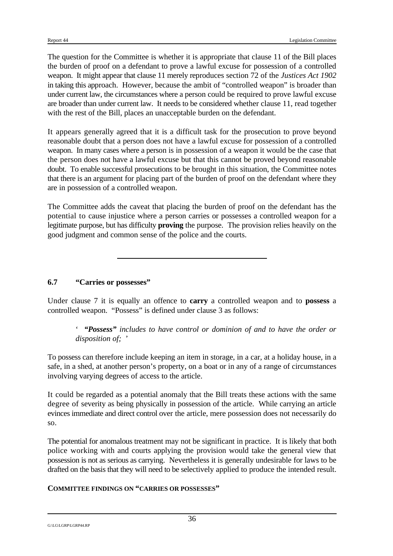The question for the Committee is whether it is appropriate that clause 11 of the Bill places the burden of proof on a defendant to prove a lawful excuse for possession of a controlled weapon. It might appear that clause 11 merely reproduces section 72 of the *Justices Act 1902* in taking this approach. However, because the ambit of "controlled weapon" is broader than under current law, the circumstances where a person could be required to prove lawful excuse are broader than under current law. It needs to be considered whether clause 11, read together with the rest of the Bill, places an unacceptable burden on the defendant.

It appears generally agreed that it is a difficult task for the prosecution to prove beyond reasonable doubt that a person does not have a lawful excuse for possession of a controlled weapon. In many cases where a person is in possession of a weapon it would be the case that the person does not have a lawful excuse but that this cannot be proved beyond reasonable doubt. To enable successful prosecutions to be brought in this situation, the Committee notes that there is an argument for placing part of the burden of proof on the defendant where they are in possession of a controlled weapon.

The Committee adds the caveat that placing the burden of proof on the defendant has the potential to cause injustice where a person carries or possesses a controlled weapon for a legitimate purpose, but has difficulty **proving** the purpose. The provision relies heavily on the good judgment and common sense of the police and the courts.

#### **6.7 "Carries or possesses"**

Under clause 7 it is equally an offence to **carry** a controlled weapon and to **possess** a controlled weapon. "Possess" is defined under clause 3 as follows:

' *"Possess" includes to have control or dominion of and to have the order or disposition of;* '

To possess can therefore include keeping an item in storage, in a car, at a holiday house, in a safe, in a shed, at another person's property, on a boat or in any of a range of circumstances involving varying degrees of access to the article.

It could be regarded as a potential anomaly that the Bill treats these actions with the same degree of severity as being physically in possession of the article. While carrying an article evinces immediate and direct control over the article, mere possession does not necessarily do so.

The potential for anomalous treatment may not be significant in practice. It is likely that both police working with and courts applying the provision would take the general view that possession is not as serious as carrying. Nevertheless it is generally undesirable for laws to be drafted on the basis that they will need to be selectively applied to produce the intended result.

#### **COMMITTEE FINDINGS ON "CARRIES OR POSSESSES"**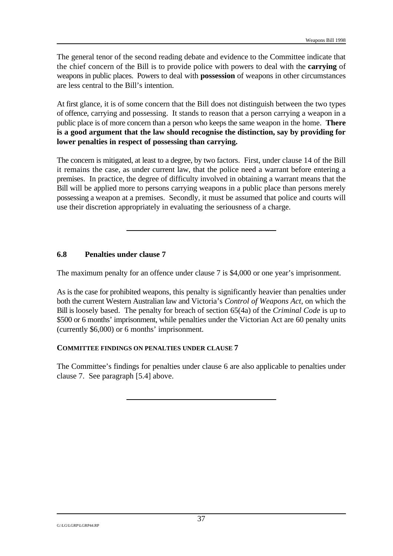The general tenor of the second reading debate and evidence to the Committee indicate that the chief concern of the Bill is to provide police with powers to deal with the **carrying** of weapons in public places. Powers to deal with **possession** of weapons in other circumstances are less central to the Bill's intention.

At first glance, it is of some concern that the Bill does not distinguish between the two types of offence, carrying and possessing. It stands to reason that a person carrying a weapon in a public place is of more concern than a person who keeps the same weapon in the home. **There is a good argument that the law should recognise the distinction, say by providing for lower penalties in respect of possessing than carrying.**

The concern is mitigated, at least to a degree, by two factors. First, under clause 14 of the Bill it remains the case, as under current law, that the police need a warrant before entering a premises. In practice, the degree of difficulty involved in obtaining a warrant means that the Bill will be applied more to persons carrying weapons in a public place than persons merely possessing a weapon at a premises. Secondly, it must be assumed that police and courts will use their discretion appropriately in evaluating the seriousness of a charge.

#### **6.8 Penalties under clause 7**

The maximum penalty for an offence under clause 7 is \$4,000 or one year's imprisonment.

As is the case for prohibited weapons, this penalty is significantly heavier than penalties under both the current Western Australian law and Victoria's *Control of Weapons Act*, on which the Bill is loosely based. The penalty for breach of section 65(4a) of the *Criminal Code* is up to \$500 or 6 months' imprisonment, while penalties under the Victorian Act are 60 penalty units (currently \$6,000) or 6 months' imprisonment.

#### **COMMITTEE FINDINGS ON PENALTIES UNDER CLAUSE 7**

The Committee's findings for penalties under clause 6 are also applicable to penalties under clause 7. See paragraph [5.4] above.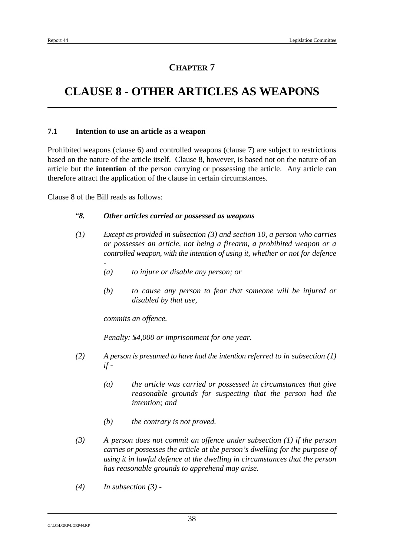# **CLAUSE 8 - OTHER ARTICLES AS WEAPONS**

#### **7.1 Intention to use an article as a weapon**

Prohibited weapons (clause 6) and controlled weapons (clause 7) are subject to restrictions based on the nature of the article itself. Clause 8, however, is based not on the nature of an article but the **intention** of the person carrying or possessing the article. Any article can therefore attract the application of the clause in certain circumstances.

Clause 8 of the Bill reads as follows:

#### "*8. Other articles carried or possessed as weapons*

- *(1) Except as provided in subsection (3) and section 10, a person who carries or possesses an article, not being a firearm, a prohibited weapon or a controlled weapon, with the intention of using it, whether or not for defence -*
	- *(a) to injure or disable any person; or*
	- *(b) to cause any person to fear that someone will be injured or disabled by that use,*

*commits an offence.*

*Penalty: \$4,000 or imprisonment for one year.*

- *(2) A person is presumed to have had the intention referred to in subsection (1) if -*
	- *(a) the article was carried or possessed in circumstances that give reasonable grounds for suspecting that the person had the intention; and*
	- *(b) the contrary is not proved.*
- *(3) A person does not commit an offence under subsection (1) if the person carries or possesses the article at the person's dwelling for the purpose of using it in lawful defence at the dwelling in circumstances that the person has reasonable grounds to apprehend may arise.*
- *(4) In subsection (3) -*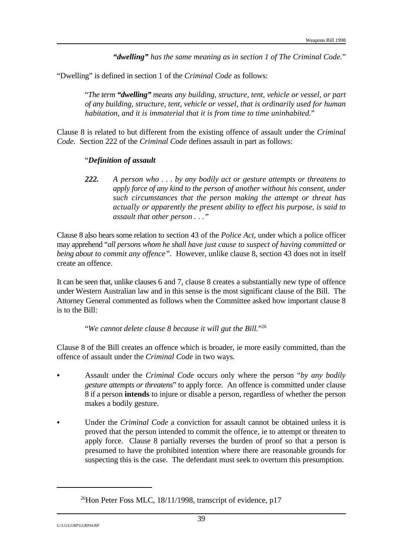*"dwelling" has the same meaning as in section 1 of The Criminal Code.*"

"Dwelling" is defined in section 1 of the *Criminal Code* as follows:

"*The term "dwelling" means any building, structure, tent, vehicle or vessel, or part of any building, structure, tent, vehicle or vessel, that is ordinarily used for human habitation, and it is immaterial that it is from time to time uninhabited.*"

Clause 8 is related to but different from the existing offence of assault under the *Criminal Code*. Section 222 of the *Criminal Code* defines assault in part as follows:

#### "*Definition of assault*

*222. A person who . . . by any bodily act or gesture attempts or threatens to apply force of any kind to the person of another without his consent, under such circumstances that the person making the attempt or threat has actually or apparently the present ability to effect his purpose, is said to assault that other person . . ."*

Clause 8 also bears some relation to section 43 of the *Police Act*, under which a police officer may apprehend "*all persons whom he shall have just cause to suspect of having committed or being about to commit any offence".* However, unlike clause 8, section 43 does not in itself create an offence.

It can be seen that, unlike clauses 6 and 7, clause 8 creates a substantially new type of offence under Western Australian law and in this sense is the most significant clause of the Bill. The Attorney General commented as follows when the Committee asked how important clause 8 is to the Bill:

"*We cannot delete clause 8 because it will gut the Bill.*" 26

Clause 8 of the Bill creates an offence which is broader, ie more easily committed, than the offence of assault under the *Criminal Code* in two ways.

- Assault under the *Criminal Code* occurs only where the person "*by any bodily gesture attempts or threatens*" to apply force. An offence is committed under clause 8 if a person **intends** to injure or disable a person, regardless of whether the person makes a bodily gesture.
- Under the *Criminal Code* a conviction for assault cannot be obtained unless it is proved that the person intended to commit the offence, ie to attempt or threaten to apply force. Clause 8 partially reverses the burden of proof so that a person is presumed to have the prohibited intention where there are reasonable grounds for suspecting this is the case. The defendant must seek to overturn this presumption.

<sup>&</sup>lt;sup>26</sup>Hon Peter Foss MLC, 18/11/1998, transcript of evidence, p17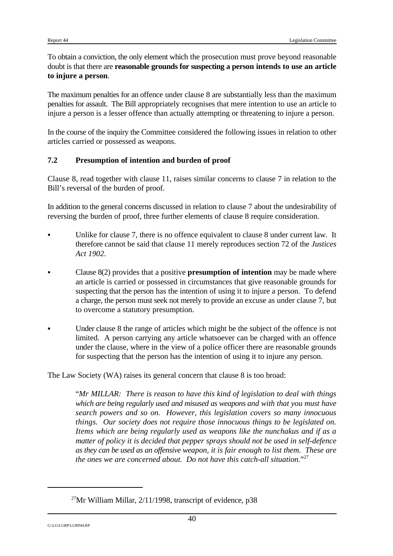To obtain a conviction, the only element which the prosecution must prove beyond reasonable doubt is that there are **reasonable grounds for suspecting a person intends to use an article to injure a person**.

The maximum penalties for an offence under clause 8 are substantially less than the maximum penalties for assault. The Bill appropriately recognises that mere intention to use an article to injure a person is a lesser offence than actually attempting or threatening to injure a person.

In the course of the inquiry the Committee considered the following issues in relation to other articles carried or possessed as weapons.

#### **7.2 Presumption of intention and burden of proof**

Clause 8, read together with clause 11, raises similar concerns to clause 7 in relation to the Bill's reversal of the burden of proof.

In addition to the general concerns discussed in relation to clause 7 about the undesirability of reversing the burden of proof, three further elements of clause 8 require consideration.

- Unlike for clause 7, there is no offence equivalent to clause 8 under current law. It therefore cannot be said that clause 11 merely reproduces section 72 of the *Justices Act 1902*.
- C Clause 8(2) provides that a positive **presumption of intention** may be made where an article is carried or possessed in circumstances that give reasonable grounds for suspecting that the person has the intention of using it to injure a person. To defend a charge, the person must seek not merely to provide an excuse as under clause 7, but to overcome a statutory presumption.
- Under clause 8 the range of articles which might be the subject of the offence is not limited. A person carrying any article whatsoever can be charged with an offence under the clause, where in the view of a police officer there are reasonable grounds for suspecting that the person has the intention of using it to injure any person.

The Law Society (WA) raises its general concern that clause 8 is too broad:

"*Mr MILLAR: There is reason to have this kind of legislation to deal with things which are being regularly used and misused as weapons and with that you must have search powers and so on. However, this legislation covers so many innocuous things. Our society does not require those innocuous things to be legislated on. Items which are being regularly used as weapons like the nunchakus and if as a matter of policy it is decided that pepper sprays should not be used in self-defence as they can be used as an offensive weapon, it is fair enough to list them. These are the ones we are concerned about. Do not have this catch-all situation.*" 27

<sup>&</sup>lt;sup>27</sup>Mr William Millar,  $2/11/1998$ , transcript of evidence, p38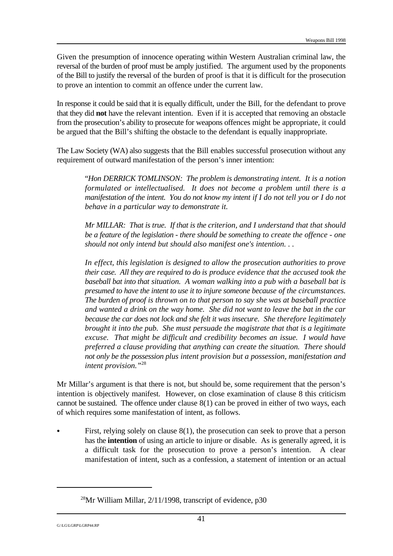Given the presumption of innocence operating within Western Australian criminal law, the reversal of the burden of proof must be amply justified. The argument used by the proponents of the Bill to justify the reversal of the burden of proof is that it is difficult for the prosecution to prove an intention to commit an offence under the current law.

In response it could be said that it is equally difficult, under the Bill, for the defendant to prove that they did **not** have the relevant intention. Even if it is accepted that removing an obstacle from the prosecution's ability to prosecute for weapons offences might be appropriate, it could be argued that the Bill's shifting the obstacle to the defendant is equally inappropriate.

The Law Society (WA) also suggests that the Bill enables successful prosecution without any requirement of outward manifestation of the person's inner intention:

"*Hon DERRICK TOMLINSON: The problem is demonstrating intent. It is a notion formulated or intellectualised. It does not become a problem until there is a manifestation of the intent. You do not know my intent if I do not tell you or I do not behave in a particular way to demonstrate it.*

*Mr MILLAR: That is true. If that is the criterion, and I understand that that should be a feature of the legislation - there should be something to create the offence - one should not only intend but should also manifest one's intention. . .*

*In effect, this legislation is designed to allow the prosecution authorities to prove their case. All they are required to do is produce evidence that the accused took the baseball bat into that situation. A woman walking into a pub with a baseball bat is presumed to have the intent to use it to injure someone because of the circumstances. The burden of proof is thrown on to that person to say she was at baseball practice and wanted a drink on the way home. She did not want to leave the bat in the car because the car does not lock and she felt it was insecure. She therefore legitimately brought it into the pub. She must persuade the magistrate that that is a legitimate excuse. That might be difficult and credibility becomes an issue. I would have preferred a clause providing that anything can create the situation. There should not only be the possession plus intent provision but a possession, manifestation and intent provision."*<sup>28</sup>

Mr Millar's argument is that there is not, but should be, some requirement that the person's intention is objectively manifest. However, on close examination of clause 8 this criticism cannot be sustained. The offence under clause 8(1) can be proved in either of two ways, each of which requires some manifestation of intent, as follows.

First, relying solely on clause  $8(1)$ , the prosecution can seek to prove that a person has the **intention** of using an article to injure or disable. As is generally agreed, it is a difficult task for the prosecution to prove a person's intention. A clear manifestation of intent, such as a confession, a statement of intention or an actual

<sup>&</sup>lt;sup>28</sup>Mr William Millar,  $2/11/1998$ , transcript of evidence, p30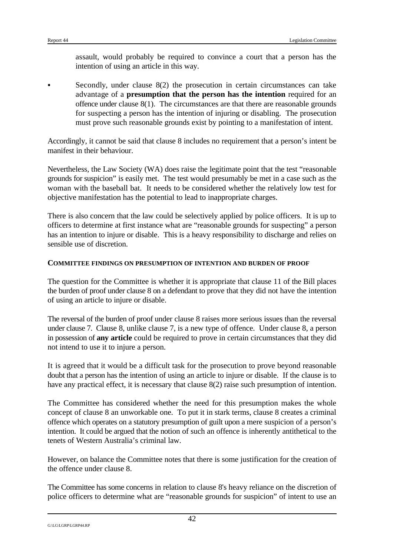assault, would probably be required to convince a court that a person has the intention of using an article in this way.

Secondly, under clause  $8(2)$  the prosecution in certain circumstances can take advantage of a **presumption that the person has the intention** required for an offence under clause 8(1). The circumstances are that there are reasonable grounds for suspecting a person has the intention of injuring or disabling. The prosecution must prove such reasonable grounds exist by pointing to a manifestation of intent.

Accordingly, it cannot be said that clause 8 includes no requirement that a person's intent be manifest in their behaviour.

Nevertheless, the Law Society (WA) does raise the legitimate point that the test "reasonable grounds for suspicion" is easily met. The test would presumably be met in a case such as the woman with the baseball bat. It needs to be considered whether the relatively low test for objective manifestation has the potential to lead to inappropriate charges.

There is also concern that the law could be selectively applied by police officers. It is up to officers to determine at first instance what are "reasonable grounds for suspecting" a person has an intention to injure or disable. This is a heavy responsibility to discharge and relies on sensible use of discretion.

#### **COMMITTEE FINDINGS ON PRESUMPTION OF INTENTION AND BURDEN OF PROOF**

The question for the Committee is whether it is appropriate that clause 11 of the Bill places the burden of proof under clause 8 on a defendant to prove that they did not have the intention of using an article to injure or disable.

The reversal of the burden of proof under clause 8 raises more serious issues than the reversal under clause 7. Clause 8, unlike clause 7, is a new type of offence. Under clause 8, a person in possession of **any article** could be required to prove in certain circumstances that they did not intend to use it to injure a person.

It is agreed that it would be a difficult task for the prosecution to prove beyond reasonable doubt that a person has the intention of using an article to injure or disable. If the clause is to have any practical effect, it is necessary that clause 8(2) raise such presumption of intention.

The Committee has considered whether the need for this presumption makes the whole concept of clause 8 an unworkable one. To put it in stark terms, clause 8 creates a criminal offence which operates on a statutory presumption of guilt upon a mere suspicion of a person's intention. It could be argued that the notion of such an offence is inherently antithetical to the tenets of Western Australia's criminal law.

However, on balance the Committee notes that there is some justification for the creation of the offence under clause 8.

The Committee has some concerns in relation to clause 8's heavy reliance on the discretion of police officers to determine what are "reasonable grounds for suspicion" of intent to use an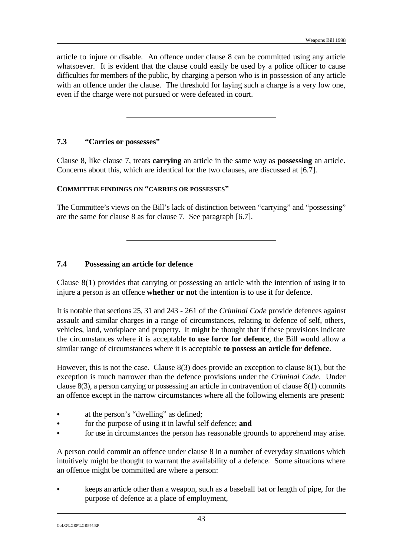article to injure or disable. An offence under clause 8 can be committed using any article whatsoever. It is evident that the clause could easily be used by a police officer to cause difficulties for members of the public, by charging a person who is in possession of any article with an offence under the clause. The threshold for laying such a charge is a very low one, even if the charge were not pursued or were defeated in court.

#### **7.3 "Carries or possesses"**

Clause 8, like clause 7, treats **carrying** an article in the same way as **possessing** an article. Concerns about this, which are identical for the two clauses, are discussed at [6.7].

#### **COMMITTEE FINDINGS ON "CARRIES OR POSSESSES"**

The Committee's views on the Bill's lack of distinction between "carrying" and "possessing" are the same for clause 8 as for clause 7. See paragraph [6.7].

#### **7.4 Possessing an article for defence**

Clause 8(1) provides that carrying or possessing an article with the intention of using it to injure a person is an offence **whether or not** the intention is to use it for defence.

It is notable that sections 25, 31 and 243 - 261 of the *Criminal Code* provide defences against assault and similar charges in a range of circumstances, relating to defence of self, others, vehicles, land, workplace and property. It might be thought that if these provisions indicate the circumstances where it is acceptable **to use force for defence**, the Bill would allow a similar range of circumstances where it is acceptable **to possess an article for defence**.

However, this is not the case. Clause 8(3) does provide an exception to clause 8(1), but the exception is much narrower than the defence provisions under the *Criminal Code*. Under clause 8(3), a person carrying or possessing an article in contravention of clause 8(1) commits an offence except in the narrow circumstances where all the following elements are present:

- at the person's "dwelling" as defined;
- for the purpose of using it in lawful self defence; **and**
- for use in circumstances the person has reasonable grounds to apprehend may arise.

A person could commit an offence under clause 8 in a number of everyday situations which intuitively might be thought to warrant the availability of a defence. Some situations where an offence might be committed are where a person:

C keeps an article other than a weapon, such as a baseball bat or length of pipe, for the purpose of defence at a place of employment,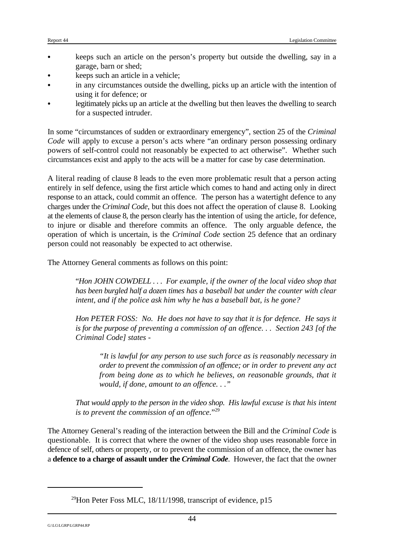- C keeps such an article on the person's property but outside the dwelling, say in a garage, barn or shed;
- keeps such an article in a vehicle;
- in any circumstances outside the dwelling, picks up an article with the intention of using it for defence; or
- legitimately picks up an article at the dwelling but then leaves the dwelling to search for a suspected intruder.

In some "circumstances of sudden or extraordinary emergency", section 25 of the *Criminal Code* will apply to excuse a person's acts where "an ordinary person possessing ordinary powers of self-control could not reasonably be expected to act otherwise". Whether such circumstances exist and apply to the acts will be a matter for case by case determination.

A literal reading of clause 8 leads to the even more problematic result that a person acting entirely in self defence, using the first article which comes to hand and acting only in direct response to an attack, could commit an offence. The person has a watertight defence to any charges under the *Criminal Code*, but this does not affect the operation of clause 8. Looking at the elements of clause 8, the person clearly has the intention of using the article, for defence, to injure or disable and therefore commits an offence. The only arguable defence, the operation of which is uncertain, is the *Criminal Code* section 25 defence that an ordinary person could not reasonably be expected to act otherwise.

The Attorney General comments as follows on this point:

"*Hon JOHN COWDELL . . . For example, if the owner of the local video shop that has been burgled half a dozen times has a baseball bat under the counter with clear intent, and if the police ask him why he has a baseball bat, is he gone?*

*Hon PETER FOSS: No. He does not have to say that it is for defence. He says it is for the purpose of preventing a commission of an offence. . . Section 243 [of the Criminal Code] states -*

*"It is lawful for any person to use such force as is reasonably necessary in order to prevent the commission of an offence; or in order to prevent any act from being done as to which he believes, on reasonable grounds, that it would, if done, amount to an offence. . ."*

*That would apply to the person in the video shop. His lawful excuse is that his intent is to prevent the commission of an offence.*" 29

The Attorney General's reading of the interaction between the Bill and the *Criminal Code* is questionable. It is correct that where the owner of the video shop uses reasonable force in defence of self, others or property, or to prevent the commission of an offence, the owner has a **defence to a charge of assault under the** *Criminal Code*. However, the fact that the owner

<sup>&</sup>lt;sup>29</sup>Hon Peter Foss MLC, 18/11/1998, transcript of evidence, p15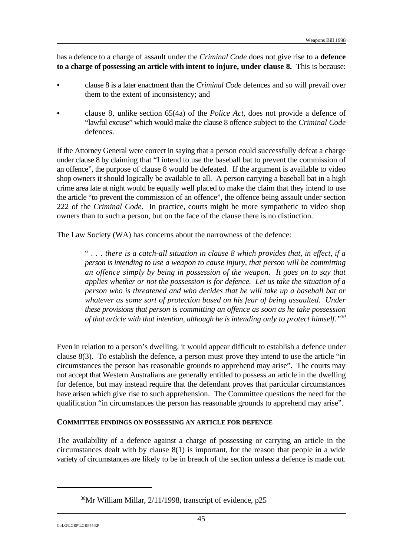has a defence to a charge of assault under the *Criminal Code* does not give rise to a **defence to a charge of possessing an article with intent to injure, under clause 8.** This is because:

- C clause 8 is a later enactment than the *Criminal Code* defences and so will prevail over them to the extent of inconsistency; and
- C clause 8, unlike section 65(4a) of the *Police Act*, does not provide a defence of "lawful excuse" which would make the clause 8 offence subject to the *Criminal Code* defences.

If the Attorney General were correct in saying that a person could successfully defeat a charge under clause 8 by claiming that "I intend to use the baseball bat to prevent the commission of an offence", the purpose of clause 8 would be defeated. If the argument is available to video shop owners it should logically be available to all. A person carrying a baseball bat in a high crime area late at night would be equally well placed to make the claim that they intend to use the article "to prevent the commission of an offence", the offence being assault under section 222 of the *Criminal Code*. In practice, courts might be more sympathetic to video shop owners than to such a person, but on the face of the clause there is no distinction.

The Law Society (WA) has concerns about the narrowness of the defence:

" . . . *there is a catch-all situation in clause 8 which provides that, in effect, if a person is intending to use a weapon to cause injury, that person will be committing an offence simply by being in possession of the weapon. It goes on to say that applies whether or not the possession is for defence. Let us take the situation of a person who is threatened and who decides that he will take up a baseball bat or whatever as some sort of protection based on his fear of being assaulted. Under these provisions that person is committing an offence as soon as he take possession of that article with that intention, although he is intending only to protect himself."<sup>30</sup>*

Even in relation to a person's dwelling, it would appear difficult to establish a defence under clause 8(3). To establish the defence, a person must prove they intend to use the article "in circumstances the person has reasonable grounds to apprehend may arise". The courts may not accept that Western Australians are generally entitled to possess an article in the dwelling for defence, but may instead require that the defendant proves that particular circumstances have arisen which give rise to such apprehension. The Committee questions the need for the qualification "in circumstances the person has reasonable grounds to apprehend may arise".

#### **COMMITTEE FINDINGS ON POSSESSING AN ARTICLE FOR DEFENCE**

The availability of a defence against a charge of possessing or carrying an article in the circumstances dealt with by clause 8(1) is important, for the reason that people in a wide variety of circumstances are likely to be in breach of the section unless a defence is made out.

 $30$ Mr William Millar,  $2/11/1998$ , transcript of evidence, p25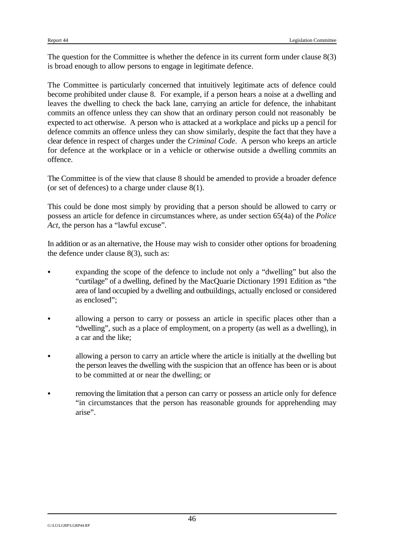The question for the Committee is whether the defence in its current form under clause 8(3) is broad enough to allow persons to engage in legitimate defence.

The Committee is particularly concerned that intuitively legitimate acts of defence could become prohibited under clause 8. For example, if a person hears a noise at a dwelling and leaves the dwelling to check the back lane, carrying an article for defence, the inhabitant commits an offence unless they can show that an ordinary person could not reasonably be expected to act otherwise. A person who is attacked at a workplace and picks up a pencil for defence commits an offence unless they can show similarly, despite the fact that they have a clear defence in respect of charges under the *Criminal Code*. A person who keeps an article for defence at the workplace or in a vehicle or otherwise outside a dwelling commits an offence.

The Committee is of the view that clause 8 should be amended to provide a broader defence (or set of defences) to a charge under clause 8(1).

This could be done most simply by providing that a person should be allowed to carry or possess an article for defence in circumstances where, as under section 65(4a) of the *Police Act*, the person has a "lawful excuse".

In addition or as an alternative, the House may wish to consider other options for broadening the defence under clause 8(3), such as:

- expanding the scope of the defence to include not only a "dwelling" but also the "curtilage" of a dwelling, defined by the MacQuarie Dictionary 1991 Edition as "the area of land occupied by a dwelling and outbuildings, actually enclosed or considered as enclosed";
- allowing a person to carry or possess an article in specific places other than a "dwelling", such as a place of employment, on a property (as well as a dwelling), in a car and the like;
- allowing a person to carry an article where the article is initially at the dwelling but the person leaves the dwelling with the suspicion that an offence has been or is about to be committed at or near the dwelling; or
- removing the limitation that a person can carry or possess an article only for defence "in circumstances that the person has reasonable grounds for apprehending may arise".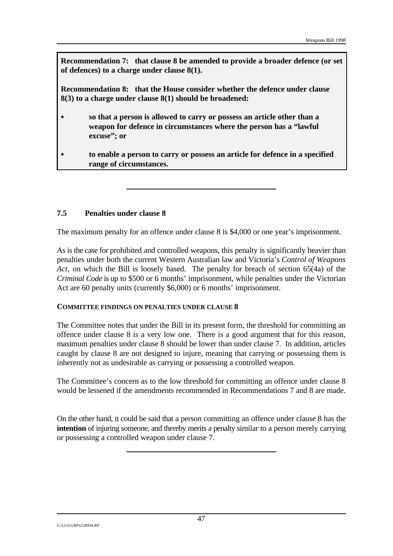**Recommendation 7: that clause 8 be amended to provide a broader defence (or set of defences) to a charge under clause 8(1).**

**Recommendation 8: that the House consider whether the defence under clause 8(3) to a charge under clause 8(1) should be broadened:**

- so that a person is allowed to carry or possess an article other than a **weapon for defence in circumstances where the person has a "lawful excuse"; or**
- C **to enable a person to carry or possess an article for defence in a specified range of circumstances.**

#### **7.5 Penalties under clause 8**

The maximum penalty for an offence under clause 8 is \$4,000 or one year's imprisonment.

As is the case for prohibited and controlled weapons, this penalty is significantly heavier than penalties under both the current Western Australian law and Victoria's *Control of Weapons Act*, on which the Bill is loosely based. The penalty for breach of section 65(4a) of the *Criminal Code* is up to \$500 or 6 months' imprisonment, while penalties under the Victorian Act are 60 penalty units (currently \$6,000) or 6 months' imprisonment.

#### **COMMITTEE FINDINGS ON PENALTIES UNDER CLAUSE 8**

The Committee notes that under the Bill in its present form, the threshold for committing an offence under clause 8 is a very low one. There is a good argument that for this reason, maximum penalties under clause 8 should be lower than under clause 7. In addition, articles caught by clause 8 are not designed to injure, meaning that carrying or possessing them is inherently not as undesirable as carrying or possessing a controlled weapon.

The Committee's concern as to the low threshold for committing an offence under clause 8 would be lessened if the amendments recommended in Recommendations 7 and 8 are made.

On the other hand, it could be said that a person committing an offence under clause 8 has the **intention** of injuring someone, and thereby merits a penalty similar to a person merely carrying or possessing a controlled weapon under clause 7.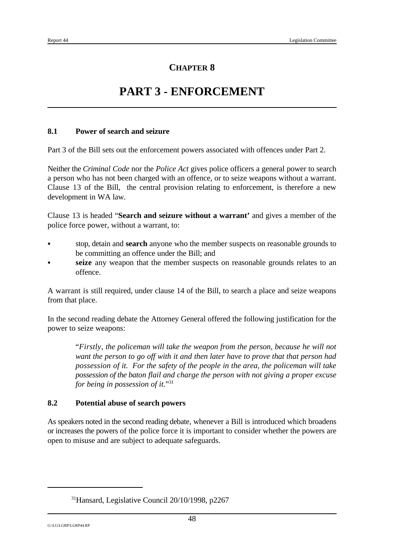# **PART 3 - ENFORCEMENT**

#### **8.1 Power of search and seizure**

Part 3 of the Bill sets out the enforcement powers associated with offences under Part 2.

Neither the *Criminal Code* nor the *Police Act* gives police officers a general power to search a person who has not been charged with an offence, or to seize weapons without a warrant. Clause 13 of the Bill, the central provision relating to enforcement, is therefore a new development in WA law.

Clause 13 is headed "**Search and seizure without a warrant'** and gives a member of the police force power, without a warrant, to:

- stop, detain and **search** anyone who the member suspects on reasonable grounds to be committing an offence under the Bill; and
- seize any weapon that the member suspects on reasonable grounds relates to an offence.

A warrant is still required, under clause 14 of the Bill, to search a place and seize weapons from that place.

In the second reading debate the Attorney General offered the following justification for the power to seize weapons:

"*Firstly, the policeman will take the weapon from the person, because he will not want the person to go off with it and then later have to prove that that person had possession of it. For the safety of the people in the area, the policeman will take possession of the baton flail and charge the person with not giving a proper excuse for being in possession of it.*" 31

#### **8.2 Potential abuse of search powers**

As speakers noted in the second reading debate, whenever a Bill is introduced which broadens or increases the powers of the police force it is important to consider whether the powers are open to misuse and are subject to adequate safeguards.

 $31$ Hansard, Legislative Council 20/10/1998, p2267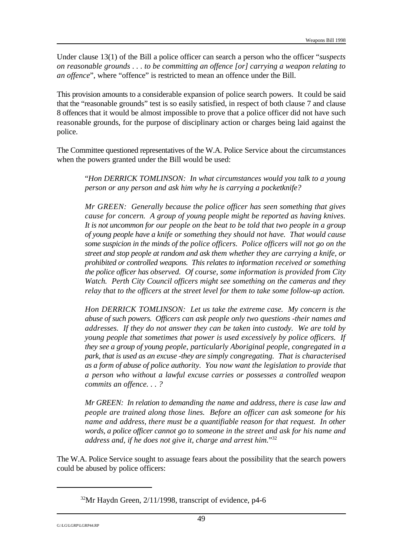Under clause 13(1) of the Bill a police officer can search a person who the officer "*suspects on reasonable grounds . . . to be committing an offence [or] carrying a weapon relating to an offence*", where "offence" is restricted to mean an offence under the Bill.

This provision amounts to a considerable expansion of police search powers. It could be said that the "reasonable grounds" test is so easily satisfied, in respect of both clause 7 and clause 8 offences that it would be almost impossible to prove that a police officer did not have such reasonable grounds, for the purpose of disciplinary action or charges being laid against the police.

The Committee questioned representatives of the W.A. Police Service about the circumstances when the powers granted under the Bill would be used:

"*Hon DERRICK TOMLINSON: In what circumstances would you talk to a young person or any person and ask him why he is carrying a pocketknife?*

*Mr GREEN: Generally because the police officer has seen something that gives cause for concern. A group of young people might be reported as having knives. It is not uncommon for our people on the beat to be told that two people in a group of young people have a knife or something they should not have. That would cause some suspicion in the minds of the police officers. Police officers will not go on the street and stop people at random and ask them whether they are carrying a knife, or prohibited or controlled weapons. This relates to information received or something the police officer has observed. Of course, some information is provided from City Watch. Perth City Council officers might see something on the cameras and they relay that to the officers at the street level for them to take some follow-up action.*

*Hon DERRICK TOMLINSON: Let us take the extreme case. My concern is the abuse of such powers. Officers can ask people only two questions -their names and addresses. If they do not answer they can be taken into custody. We are told by young people that sometimes that power is used excessively by police officers. If they see a group of young people, particularly Aboriginal people, congregated in a park, that is used as an excuse -they are simply congregating. That is characterised as a form of abuse of police authority. You now want the legislation to provide that a person who without a lawful excuse carries or possesses a controlled weapon commits an offence. . . ?*

*Mr GREEN: In relation to demanding the name and address, there is case law and people are trained along those lines. Before an officer can ask someone for his name and address, there must be a quantifiable reason for that request. In other words, a police officer cannot go to someone in the street and ask for his name and address and, if he does not give it, charge and arrest him.*" 32

The W.A. Police Service sought to assuage fears about the possibility that the search powers could be abused by police officers:

 $32$ Mr Haydn Green,  $2/11/1998$ , transcript of evidence, p4-6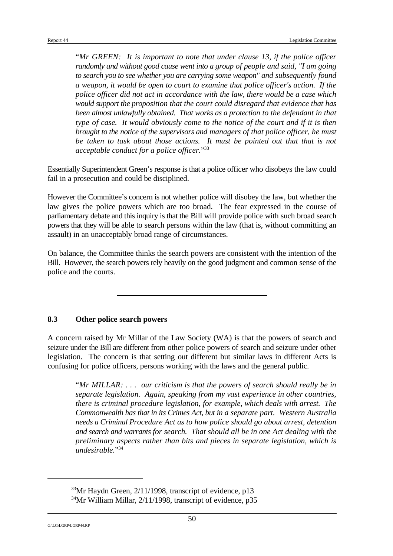"*Mr GREEN: It is important to note that under clause 13, if the police officer randomly and without good cause went into a group of people and said, "I am going to search you to see whether you are carrying some weapon" and subsequently found a weapon, it would be open to court to examine that police officer's action. If the police officer did not act in accordance with the law, there would be a case which would support the proposition that the court could disregard that evidence that has been almost unlawfully obtained. That works as a protection to the defendant in that type of case. It would obviously come to the notice of the court and if it is then brought to the notice of the supervisors and managers of that police officer, he must be taken to task about those actions. It must be pointed out that that is not acceptable conduct for a police officer.*" 33

Essentially Superintendent Green's response is that a police officer who disobeys the law could fail in a prosecution and could be disciplined.

However the Committee's concern is not whether police will disobey the law, but whether the law gives the police powers which are too broad. The fear expressed in the course of parliamentary debate and this inquiry is that the Bill will provide police with such broad search powers that they will be able to search persons within the law (that is, without committing an assault) in an unacceptably broad range of circumstances.

On balance, the Committee thinks the search powers are consistent with the intention of the Bill. However, the search powers rely heavily on the good judgment and common sense of the police and the courts.

### **8.3 Other police search powers**

A concern raised by Mr Millar of the Law Society (WA) is that the powers of search and seizure under the Bill are different from other police powers of search and seizure under other legislation. The concern is that setting out different but similar laws in different Acts is confusing for police officers, persons working with the laws and the general public.

"*Mr MILLAR: . . . our criticism is that the powers of search should really be in separate legislation. Again, speaking from my vast experience in other countries, there is criminal procedure legislation, for example, which deals with arrest. The Commonwealth has that in its Crimes Act, but in a separate part. Western Australia needs a Criminal Procedure Act as to how police should go about arrest, detention and search and warrants for search. That should all be in one Act dealing with the preliminary aspects rather than bits and pieces in separate legislation, which is undesirable.*" 34

 $33$ Mr Haydn Green,  $2/11/1998$ , transcript of evidence, p13

 $34$ Mr William Millar,  $2/11/1998$ , transcript of evidence, p35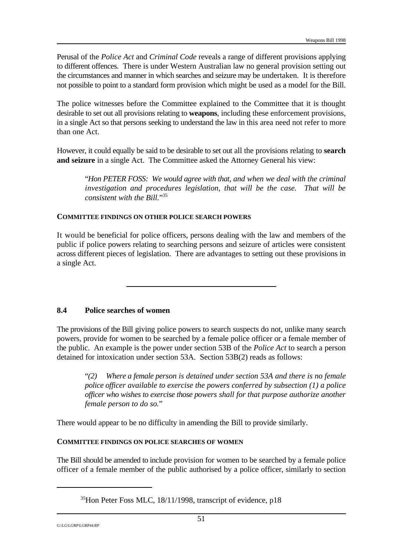Perusal of the *Police Act* and *Criminal Code* reveals a range of different provisions applying to different offences. There is under Western Australian law no general provision setting out the circumstances and manner in which searches and seizure may be undertaken. It is therefore not possible to point to a standard form provision which might be used as a model for the Bill.

The police witnesses before the Committee explained to the Committee that it is thought desirable to set out all provisions relating to **weapons**, including these enforcement provisions, in a single Act so that persons seeking to understand the law in this area need not refer to more than one Act.

However, it could equally be said to be desirable to set out all the provisions relating to **search and seizure** in a single Act. The Committee asked the Attorney General his view:

"*Hon PETER FOSS: We would agree with that, and when we deal with the criminal investigation and procedures legislation, that will be the case. That will be consistent with the Bill.*" 35

#### **COMMITTEE FINDINGS ON OTHER POLICE SEARCH POWERS**

It would be beneficial for police officers, persons dealing with the law and members of the public if police powers relating to searching persons and seizure of articles were consistent across different pieces of legislation. There are advantages to setting out these provisions in a single Act.

#### **8.4 Police searches of women**

The provisions of the Bill giving police powers to search suspects do not, unlike many search powers, provide for women to be searched by a female police officer or a female member of the public. An example is the power under section 53B of the *Police Act* to search a person detained for intoxication under section 53A. Section 53B(2) reads as follows:

"*(2) Where a female person is detained under section 53A and there is no female police officer available to exercise the powers conferred by subsection (1) a police officer who wishes to exercise those powers shall for that purpose authorize another female person to do so.*"

There would appear to be no difficulty in amending the Bill to provide similarly.

#### **COMMITTEE FINDINGS ON POLICE SEARCHES OF WOMEN**

The Bill should be amended to include provision for women to be searched by a female police officer of a female member of the public authorised by a police officer, similarly to section

 $^{35}$ Hon Peter Foss MLC, 18/11/1998, transcript of evidence, p18